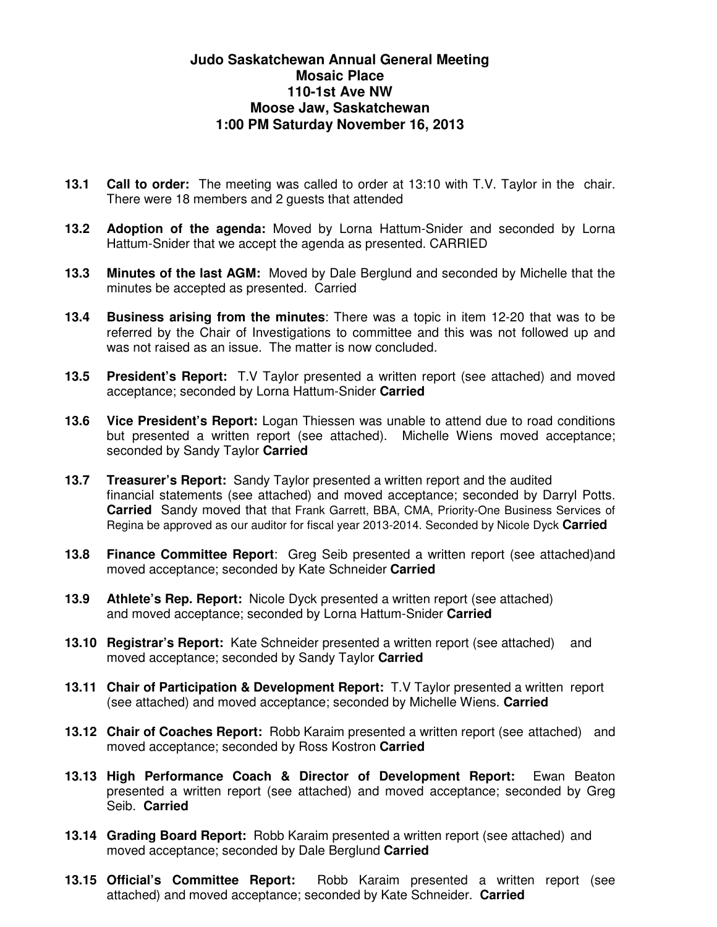#### **Judo Saskatchewan Annual General Meeting Mosaic Place 110-1st Ave NW Moose Jaw, Saskatchewan 1:00 PM Saturday November 16, 2013**

- **13.1 Call to order:** The meeting was called to order at 13:10 with T.V. Taylor in the chair. There were 18 members and 2 guests that attended
- **13.2 Adoption of the agenda:** Moved by Lorna Hattum-Snider and seconded by Lorna Hattum-Snider that we accept the agenda as presented. CARRIED
- **13.3 Minutes of the last AGM:** Moved by Dale Berglund and seconded by Michelle that the minutes be accepted as presented. Carried
- **13.4 Business arising from the minutes**: There was a topic in item 12-20 that was to be referred by the Chair of Investigations to committee and this was not followed up and was not raised as an issue. The matter is now concluded.
- **13.5 President's Report:** T.V Taylor presented a written report (see attached) and moved acceptance; seconded by Lorna Hattum-Snider **Carried**
- **13.6 Vice President's Report:** Logan Thiessen was unable to attend due to road conditions but presented a written report (see attached). Michelle Wiens moved acceptance; seconded by Sandy Taylor **Carried**
- **13.7 Treasurer's Report:** Sandy Taylor presented a written report and the audited financial statements (see attached) and moved acceptance; seconded by Darryl Potts. **Carried** Sandy moved that that Frank Garrett, BBA, CMA, Priority-One Business Services of Regina be approved as our auditor for fiscal year 2013-2014. Seconded by Nicole Dyck **Carried**
- **13.8 Finance Committee Report**: Greg Seib presented a written report (see attached)and moved acceptance; seconded by Kate Schneider **Carried**
- **13.9 Athlete's Rep. Report:** Nicole Dyck presented a written report (see attached) and moved acceptance; seconded by Lorna Hattum-Snider **Carried**
- **13.10 Registrar's Report:** Kate Schneider presented a written report (see attached) and moved acceptance; seconded by Sandy Taylor **Carried**
- **13.11 Chair of Participation & Development Report:** T.V Taylor presented a written report (see attached) and moved acceptance; seconded by Michelle Wiens. **Carried**
- **13.12 Chair of Coaches Report:** Robb Karaim presented a written report (see attached) and moved acceptance; seconded by Ross Kostron **Carried**
- **13.13 High Performance Coach & Director of Development Report:** Ewan Beaton presented a written report (see attached) and moved acceptance; seconded by Greg Seib. **Carried**
- **13.14 Grading Board Report:** Robb Karaim presented a written report (see attached) and moved acceptance; seconded by Dale Berglund **Carried**
- **13.15 Official's Committee Report:** Robb Karaim presented a written report (see attached) and moved acceptance; seconded by Kate Schneider. **Carried**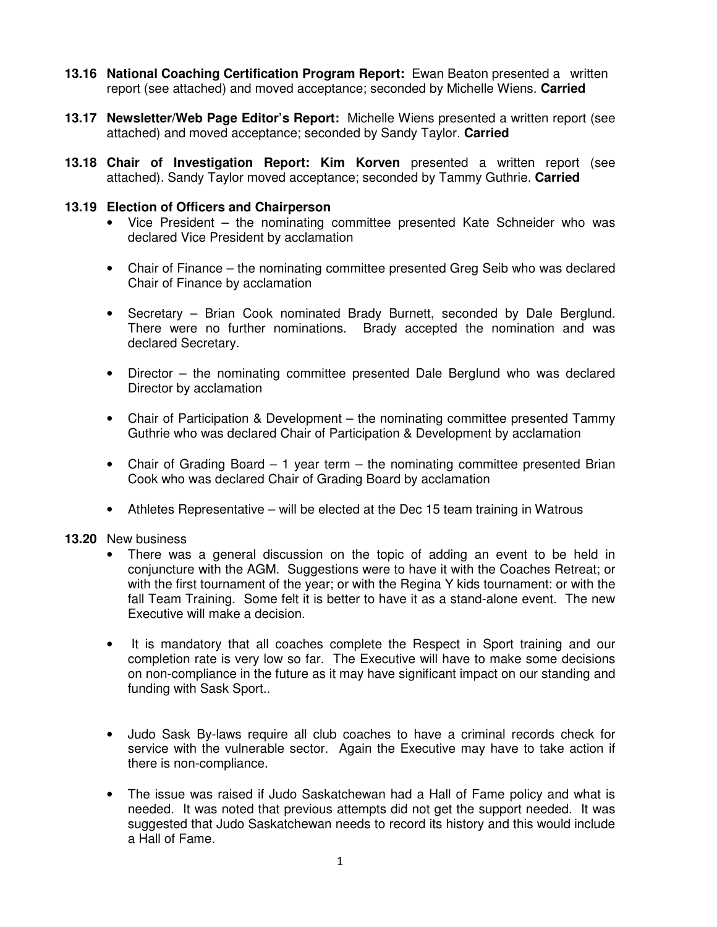- **13.16 National Coaching Certification Program Report:** Ewan Beaton presented a written report (see attached) and moved acceptance; seconded by Michelle Wiens. **Carried**
- **13.17 Newsletter/Web Page Editor's Report:** Michelle Wiens presented a written report (see attached) and moved acceptance; seconded by Sandy Taylor. **Carried**
- **13.18 Chair of Investigation Report: Kim Korven** presented a written report (see attached). Sandy Taylor moved acceptance; seconded by Tammy Guthrie. **Carried**

#### **13.19 Election of Officers and Chairperson**

- Vice President the nominating committee presented Kate Schneider who was declared Vice President by acclamation
- Chair of Finance the nominating committee presented Greg Seib who was declared Chair of Finance by acclamation
- Secretary Brian Cook nominated Brady Burnett, seconded by Dale Berglund. There were no further nominations. Brady accepted the nomination and was declared Secretary.
- Director the nominating committee presented Dale Berglund who was declared Director by acclamation
- Chair of Participation & Development the nominating committee presented Tammy Guthrie who was declared Chair of Participation & Development by acclamation
- Chair of Grading Board 1 year term the nominating committee presented Brian Cook who was declared Chair of Grading Board by acclamation
- Athletes Representative will be elected at the Dec 15 team training in Watrous

#### **13.20** New business

- There was a general discussion on the topic of adding an event to be held in conjuncture with the AGM. Suggestions were to have it with the Coaches Retreat; or with the first tournament of the year; or with the Regina Y kids tournament: or with the fall Team Training. Some felt it is better to have it as a stand-alone event. The new Executive will make a decision.
- It is mandatory that all coaches complete the Respect in Sport training and our completion rate is very low so far. The Executive will have to make some decisions on non-compliance in the future as it may have significant impact on our standing and funding with Sask Sport..
- Judo Sask By-laws require all club coaches to have a criminal records check for service with the vulnerable sector. Again the Executive may have to take action if there is non-compliance.
- The issue was raised if Judo Saskatchewan had a Hall of Fame policy and what is needed. It was noted that previous attempts did not get the support needed. It was suggested that Judo Saskatchewan needs to record its history and this would include a Hall of Fame.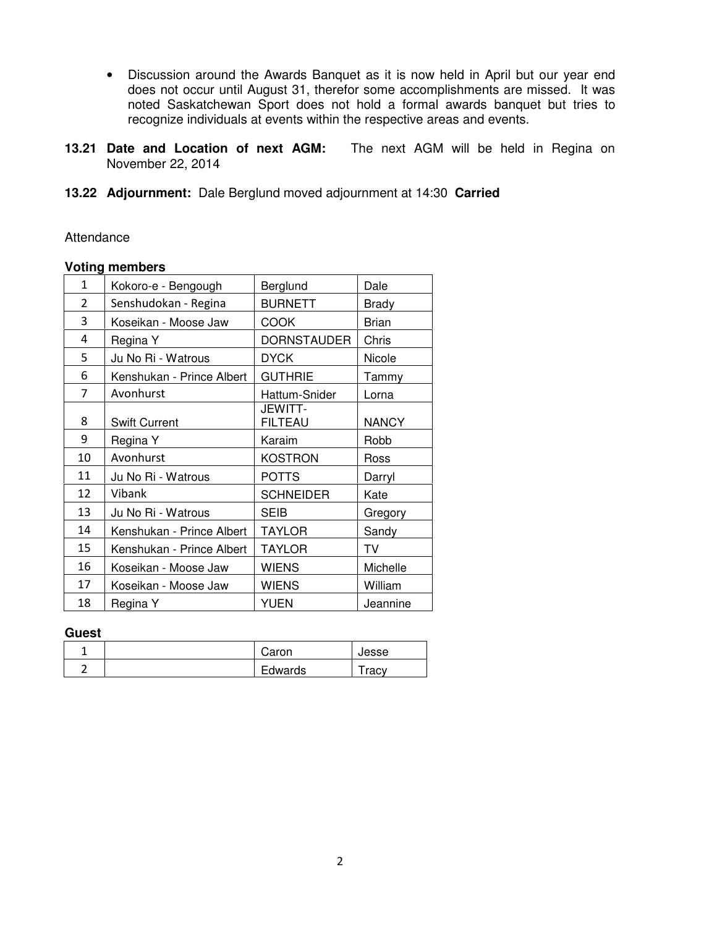- Discussion around the Awards Banquet as it is now held in April but our year end does not occur until August 31, therefor some accomplishments are missed. It was noted Saskatchewan Sport does not hold a formal awards banquet but tries to recognize individuals at events within the respective areas and events.
- **13.21 Date and Location of next AGM:** The next AGM will be held in Regina on November 22, 2014
- **13.22 Adjournment:** Dale Berglund moved adjournment at 14:30 **Carried**

**Attendance** 

#### **Voting members**

| $\mathbf{1}$   | Kokoro-e - Bengough       | Berglund                  | Dale         |
|----------------|---------------------------|---------------------------|--------------|
| $\overline{2}$ | Senshudokan - Regina      | <b>BURNETT</b>            | <b>Brady</b> |
| 3              | Koseikan - Moose Jaw      | <b>COOK</b>               | <b>Brian</b> |
| 4              | Regina Y                  | <b>DORNSTAUDER</b>        | Chris        |
| 5              | Ju No Ri - Watrous        | <b>DYCK</b>               | Nicole       |
| 6              | Kenshukan - Prince Albert | <b>GUTHRIE</b>            | Tammy        |
| 7              | Avonhurst                 | Hattum-Snider             | Lorna        |
| 8              | <b>Swift Current</b>      | JEWITT-<br><b>FILTEAU</b> | <b>NANCY</b> |
| 9              | Regina Y                  | Karaim                    | Robb         |
| 10             | Avonhurst                 | <b>KOSTRON</b>            | Ross         |
| 11             | Ju No Ri - Watrous        | <b>POTTS</b>              | Darryl       |
| 12             | Vibank                    | <b>SCHNEIDER</b>          | Kate         |
| 13             | Ju No Ri - Watrous        | <b>SEIB</b>               | Gregory      |
| 14             | Kenshukan - Prince Albert | <b>TAYLOR</b>             | Sandy        |
| 15             | Kenshukan - Prince Albert | <b>TAYLOR</b>             | TV           |
| 16             | Koseikan - Moose Jaw      | <b>WIENS</b>              | Michelle     |
| 17             | Koseikan - Moose Jaw      | <b>WIENS</b>              | William      |
| 18             | Regina Y                  | <b>YUEN</b>               | Jeannine     |

#### **Guest**

|  | Caron   | Jesse |
|--|---------|-------|
|  | Edwards | racy  |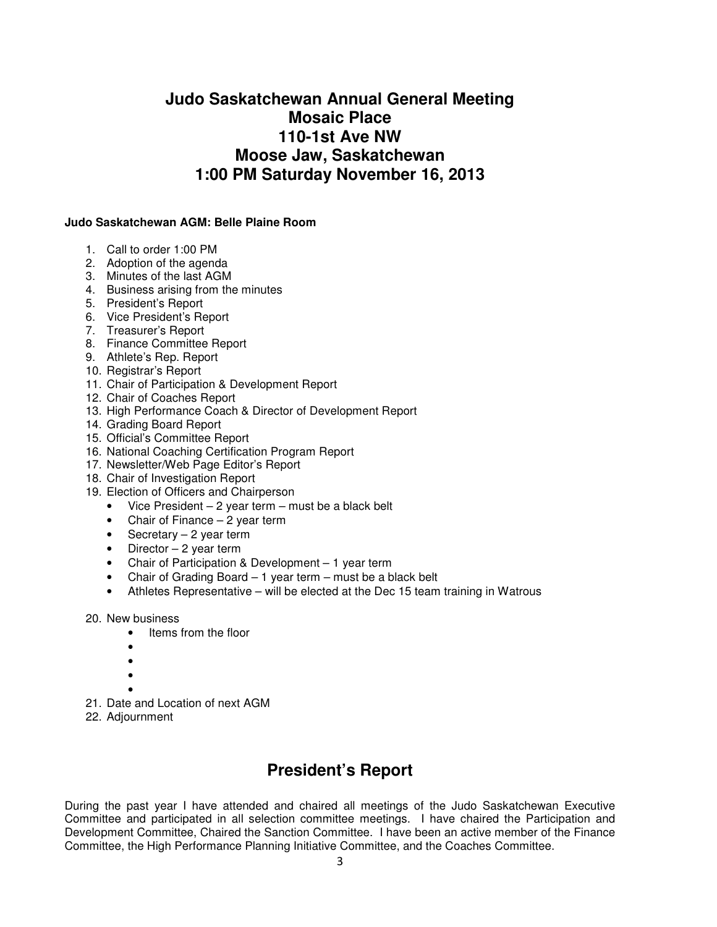### **Judo Saskatchewan Annual General Meeting Mosaic Place 110-1st Ave NW Moose Jaw, Saskatchewan 1:00 PM Saturday November 16, 2013**

#### **Judo Saskatchewan AGM: Belle Plaine Room**

- 1. Call to order 1:00 PM
- 2. Adoption of the agenda
- 3. Minutes of the last AGM
- 4. Business arising from the minutes
- 5. President's Report
- 6. Vice President's Report
- 7. Treasurer's Report
- 8. Finance Committee Report
- 9. Athlete's Rep. Report
- 10. Registrar's Report
- 11. Chair of Participation & Development Report
- 12. Chair of Coaches Report
- 13. High Performance Coach & Director of Development Report
- 14. Grading Board Report
- 15. Official's Committee Report
- 16. National Coaching Certification Program Report
- 17. Newsletter/Web Page Editor's Report
- 18. Chair of Investigation Report
- 19. Election of Officers and Chairperson
	- Vice President 2 year term must be a black belt
	- Chair of Finance 2 year term
	- Secretary 2 year term
	- $\bullet$  Director  $-2$  year term
	- Chair of Participation & Development 1 year term
	- Chair of Grading Board 1 year term must be a black belt
	- Athletes Representative will be elected at the Dec 15 team training in Watrous
- 20. New business
	- Items from the floor
	- •
	- •
	- •
	- •
- 21. Date and Location of next AGM
- 22. Adjournment

## **President's Report**

During the past year I have attended and chaired all meetings of the Judo Saskatchewan Executive Committee and participated in all selection committee meetings. I have chaired the Participation and Development Committee, Chaired the Sanction Committee. I have been an active member of the Finance Committee, the High Performance Planning Initiative Committee, and the Coaches Committee.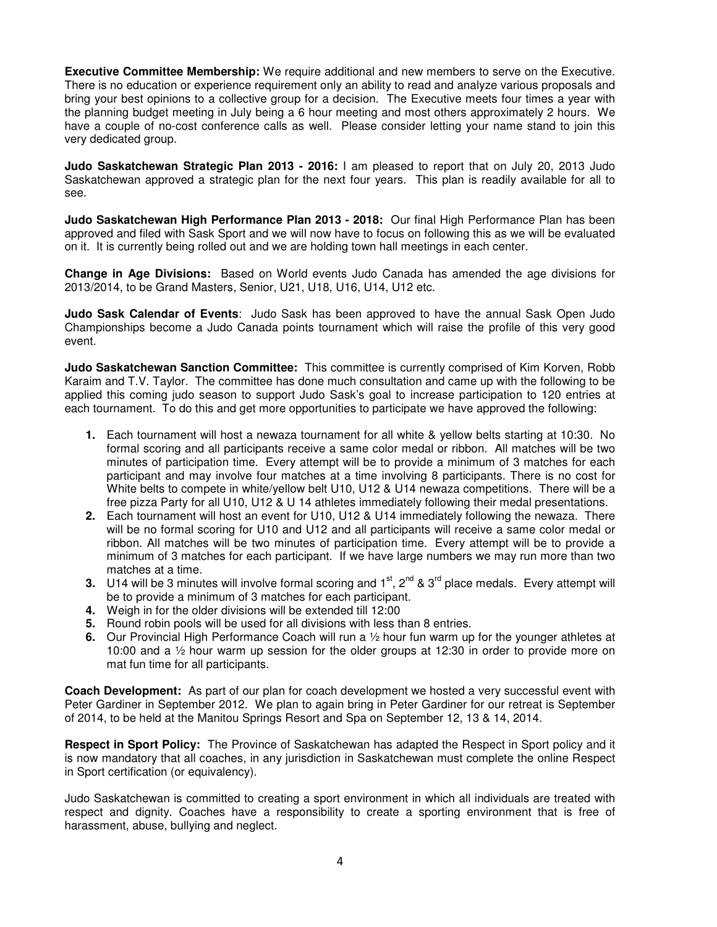**Executive Committee Membership:** We require additional and new members to serve on the Executive. There is no education or experience requirement only an ability to read and analyze various proposals and bring your best opinions to a collective group for a decision. The Executive meets four times a year with the planning budget meeting in July being a 6 hour meeting and most others approximately 2 hours. We have a couple of no-cost conference calls as well. Please consider letting your name stand to join this very dedicated group.

**Judo Saskatchewan Strategic Plan 2013 - 2016:** I am pleased to report that on July 20, 2013 Judo Saskatchewan approved a strategic plan for the next four years. This plan is readily available for all to see.

**Judo Saskatchewan High Performance Plan 2013 - 2018:** Our final High Performance Plan has been approved and filed with Sask Sport and we will now have to focus on following this as we will be evaluated on it. It is currently being rolled out and we are holding town hall meetings in each center.

**Change in Age Divisions:** Based on World events Judo Canada has amended the age divisions for 2013/2014, to be Grand Masters, Senior, U21, U18, U16, U14, U12 etc.

**Judo Sask Calendar of Events**: Judo Sask has been approved to have the annual Sask Open Judo Championships become a Judo Canada points tournament which will raise the profile of this very good event.

**Judo Saskatchewan Sanction Committee:** This committee is currently comprised of Kim Korven, Robb Karaim and T.V. Taylor. The committee has done much consultation and came up with the following to be applied this coming judo season to support Judo Sask's goal to increase participation to 120 entries at each tournament. To do this and get more opportunities to participate we have approved the following:

- **1.** Each tournament will host a newaza tournament for all white & yellow belts starting at 10:30. No formal scoring and all participants receive a same color medal or ribbon. All matches will be two minutes of participation time. Every attempt will be to provide a minimum of 3 matches for each participant and may involve four matches at a time involving 8 participants. There is no cost for White belts to compete in white/yellow belt U10, U12 & U14 newaza competitions. There will be a free pizza Party for all U10, U12 & U 14 athletes immediately following their medal presentations.
- **2.** Each tournament will host an event for U10, U12 & U14 immediately following the newaza. There will be no formal scoring for U10 and U12 and all participants will receive a same color medal or ribbon. All matches will be two minutes of participation time. Every attempt will be to provide a minimum of 3 matches for each participant. If we have large numbers we may run more than two matches at a time.
- **3.** U14 will be 3 minutes will involve formal scoring and 1<sup>st</sup>, 2<sup>nd</sup> & 3<sup>rd</sup> place medals. Every attempt will be to provide a minimum of 3 matches for each participant.
- **4.** Weigh in for the older divisions will be extended till 12:00
- **5.** Round robin pools will be used for all divisions with less than 8 entries.
- **6.** Our Provincial High Performance Coach will run a ½ hour fun warm up for the younger athletes at 10:00 and a ½ hour warm up session for the older groups at 12:30 in order to provide more on mat fun time for all participants.

**Coach Development:** As part of our plan for coach development we hosted a very successful event with Peter Gardiner in September 2012. We plan to again bring in Peter Gardiner for our retreat is September of 2014, to be held at the Manitou Springs Resort and Spa on September 12, 13 & 14, 2014.

**Respect in Sport Policy:** The Province of Saskatchewan has adapted the Respect in Sport policy and it is now mandatory that all coaches, in any jurisdiction in Saskatchewan must complete the online Respect in Sport certification (or equivalency).

Judo Saskatchewan is committed to creating a sport environment in which all individuals are treated with respect and dignity. Coaches have a responsibility to create a sporting environment that is free of harassment, abuse, bullying and neglect.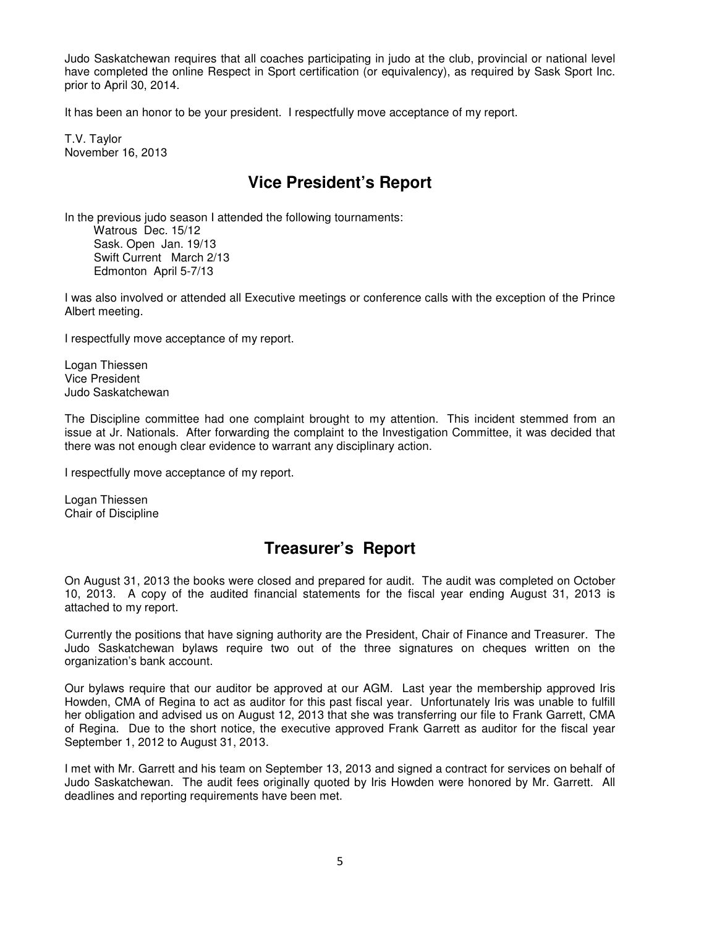Judo Saskatchewan requires that all coaches participating in judo at the club, provincial or national level have completed the online Respect in Sport certification (or equivalency), as required by Sask Sport Inc. prior to April 30, 2014.

It has been an honor to be your president. I respectfully move acceptance of my report.

T.V. Taylor November 16, 2013

# **Vice President's Report**

In the previous judo season I attended the following tournaments: Watrous Dec. 15/12 Sask. Open Jan. 19/13 Swift Current March 2/13 Edmonton April 5-7/13

I was also involved or attended all Executive meetings or conference calls with the exception of the Prince Albert meeting.

I respectfully move acceptance of my report.

Logan Thiessen Vice President Judo Saskatchewan

The Discipline committee had one complaint brought to my attention. This incident stemmed from an issue at Jr. Nationals. After forwarding the complaint to the Investigation Committee, it was decided that there was not enough clear evidence to warrant any disciplinary action.

I respectfully move acceptance of my report.

Logan Thiessen Chair of Discipline

## **Treasurer's Report**

On August 31, 2013 the books were closed and prepared for audit. The audit was completed on October 10, 2013. A copy of the audited financial statements for the fiscal year ending August 31, 2013 is attached to my report.

Currently the positions that have signing authority are the President, Chair of Finance and Treasurer. The Judo Saskatchewan bylaws require two out of the three signatures on cheques written on the organization's bank account.

Our bylaws require that our auditor be approved at our AGM. Last year the membership approved Iris Howden, CMA of Regina to act as auditor for this past fiscal year. Unfortunately Iris was unable to fulfill her obligation and advised us on August 12, 2013 that she was transferring our file to Frank Garrett, CMA of Regina. Due to the short notice, the executive approved Frank Garrett as auditor for the fiscal year September 1, 2012 to August 31, 2013.

I met with Mr. Garrett and his team on September 13, 2013 and signed a contract for services on behalf of Judo Saskatchewan. The audit fees originally quoted by Iris Howden were honored by Mr. Garrett. All deadlines and reporting requirements have been met.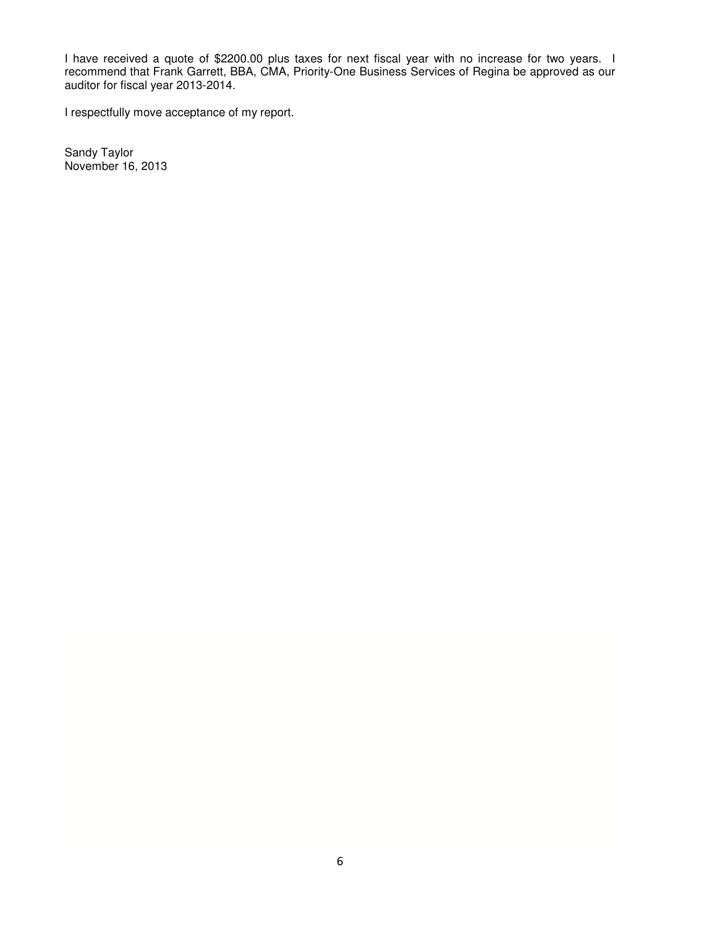I have received a quote of \$2200.00 plus taxes for next fiscal year with no increase for two years. I recommend that Frank Garrett, BBA, CMA, Priority-One Business Services of Regina be approved as our auditor for fiscal year 2013-2014.

I respectfully move acceptance of my report.

Sandy Taylor November 16, 2013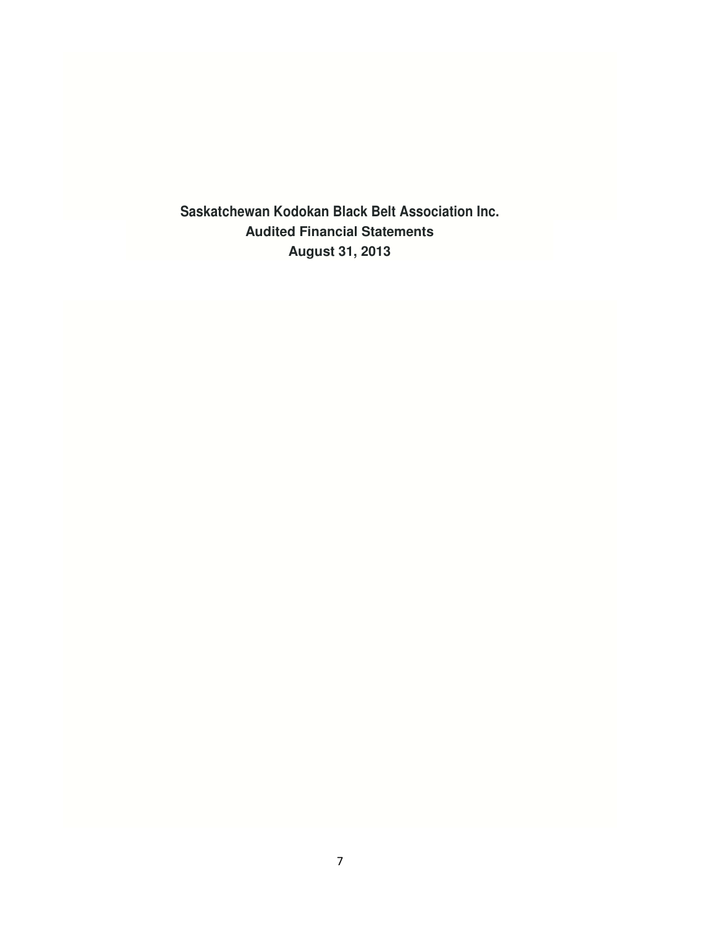**Saskatchewan Kodokan Black Belt Association Inc. Audited Financial Statements August 31, 2013**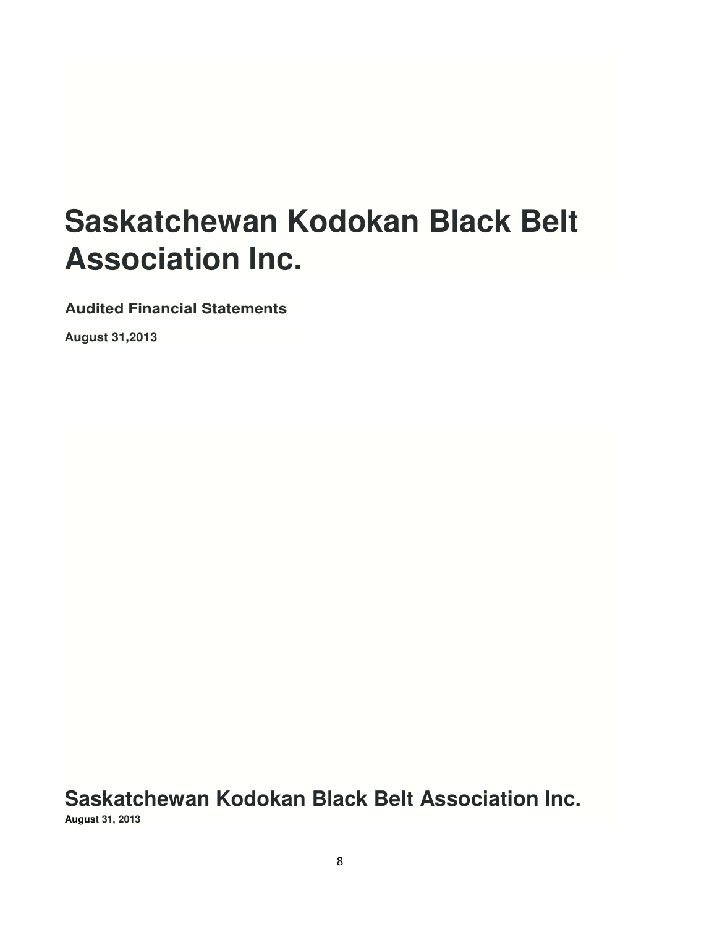**Audited Financial Statements** 

**August 31,2013** 

**Saskatchewan Kodokan Black Belt Association Inc.** 

**August 31, 2013**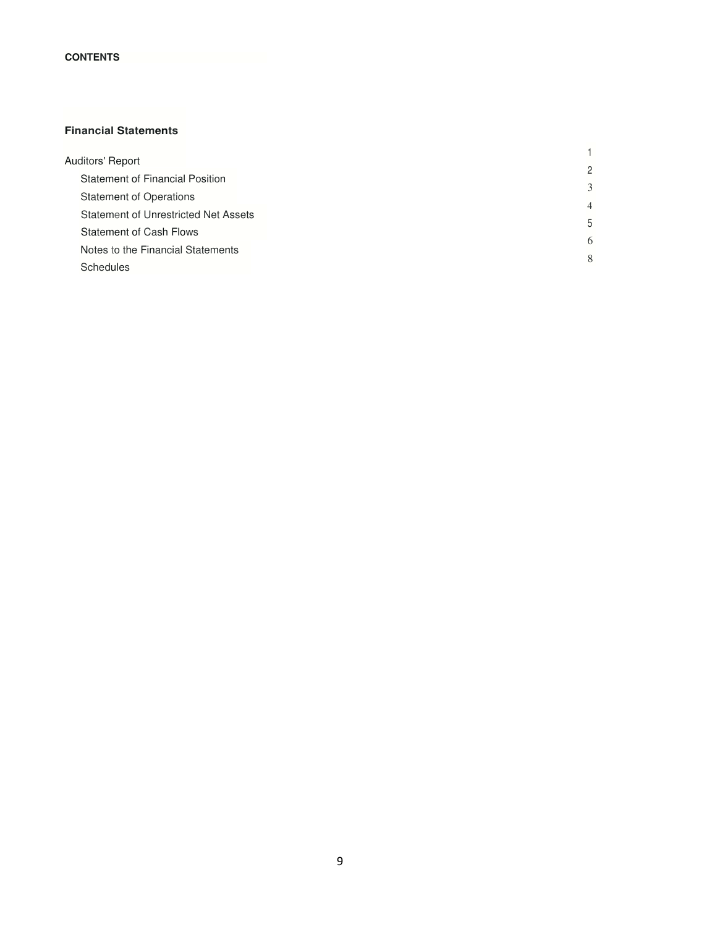#### **Financial Statements**

| Auditors' Report                       |  |
|----------------------------------------|--|
| <b>Statement of Financial Position</b> |  |
|                                        |  |
| <b>Statement of Operations</b>         |  |
| Statement of Unrestricted Net Assets   |  |
| Statement of Cash Flows                |  |
| Notes to the Financial Statements      |  |
| Schedules                              |  |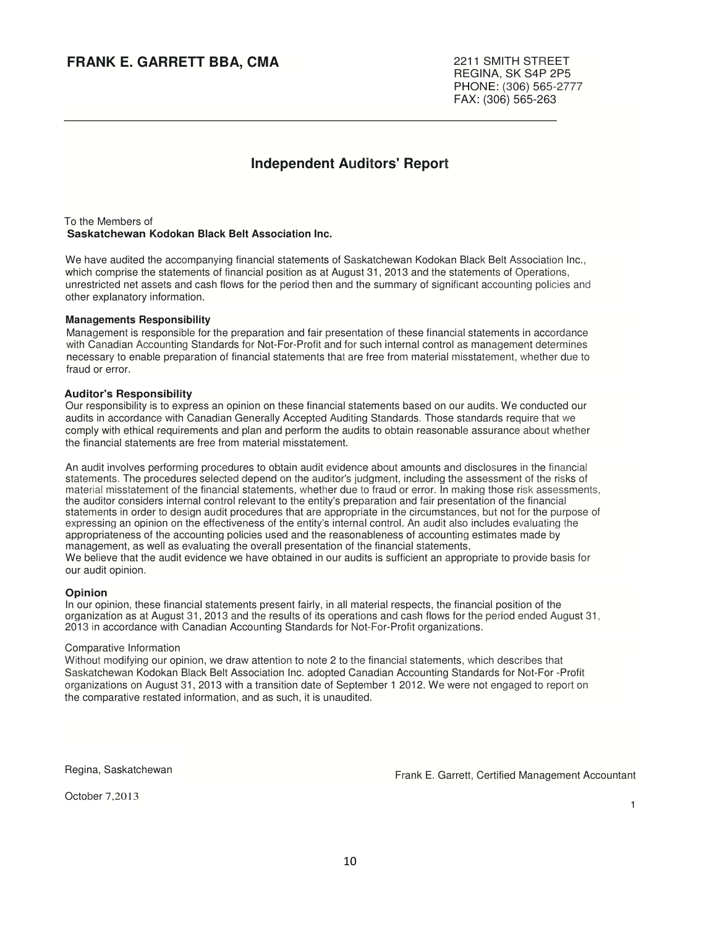### **FRANK E. GARRETT BBA, CMA** 2211 SMITH STREET

### **Independent Auditors' Report**

\_\_\_\_\_\_\_\_\_\_\_\_\_\_\_\_\_\_\_\_\_\_\_\_\_\_\_\_\_\_\_\_\_\_\_\_\_\_\_\_\_\_\_\_\_\_\_\_\_\_\_\_\_\_\_\_\_\_\_\_\_\_\_

To the Members of **Saskatchewan Kodokan Black Belt Association Inc.** 

We have audited the accompanying financial statements of Saskatchewan Kodokan Black Belt Association Inc., which comprise the statements of financial position as at August 31, 2013 and the statements of Operations, unrestricted net assets and cash flows for the period then and the summary of significant accounting policies and other explanatory information.

#### **Managements Responsibility**

Management is responsible for the preparation and fair presentation of these financial statements in accordance with Canadian Accounting Standards for Not-For-Profit and for such internal control as management determines necessary to enable preparation of financial statements that are free from material misstatement, whether due to fraud or error.

#### **Auditor's Responsibility**

Our responsibility is to express an opinion on these financial statements based on our audits. We conducted our audits in accordance with Canadian Generally Accepted Auditing Standards. Those standards require that we comply with ethical requirements and plan and perform the audits to obtain reasonable assurance about whether the financial statements are free from material misstatement.

An audit involves performing procedures to obtain audit evidence about amounts and disclosures in the financial statements. The procedures selected depend on the auditor's judgment, including the assessment of the risks of material misstatement of the financial statements, whether due to fraud or error. In making those risk assessments, the auditor considers internal control relevant to the entity's preparation and fair presentation of the financial statements in order to design audit procedures that are appropriate in the circumstances, but not for the purpose of expressing an opinion on the effectiveness of the entity's internal control. An audit also includes evaluating the appropriateness of the accounting policies used and the reasonableness of accounting estimates made by management, as well as evaluating the overall presentation of the financial statements, We believe that the audit evidence we have obtained in our audits is sufficient an appropriate to provide basis for our audit opinion.

#### **Opinion**

In our opinion, these financial statements present fairly, in all material respects, the financial position of the organization as at August 31, 2013 and the results of its operations and cash flows for the period ended August 31, 2013 in accordance with Canadian Accounting Standards for Not-For-Profit organizations.

#### Comparative Information

Without modifying our opinion, we draw attention to note 2 to the financial statements, which describes that Saskatchewan Kodokan Black Belt Association Inc. adopted Canadian Accounting Standards for Not-For -Profit organizations on August 31, 2013 with a transition date of September 1 2012. We were not engaged to report on the comparative restated information, and as such, it is unaudited.

Regina, Saskatchewan

Frank E. Garrett, Certified Management Accountant

October 7,2013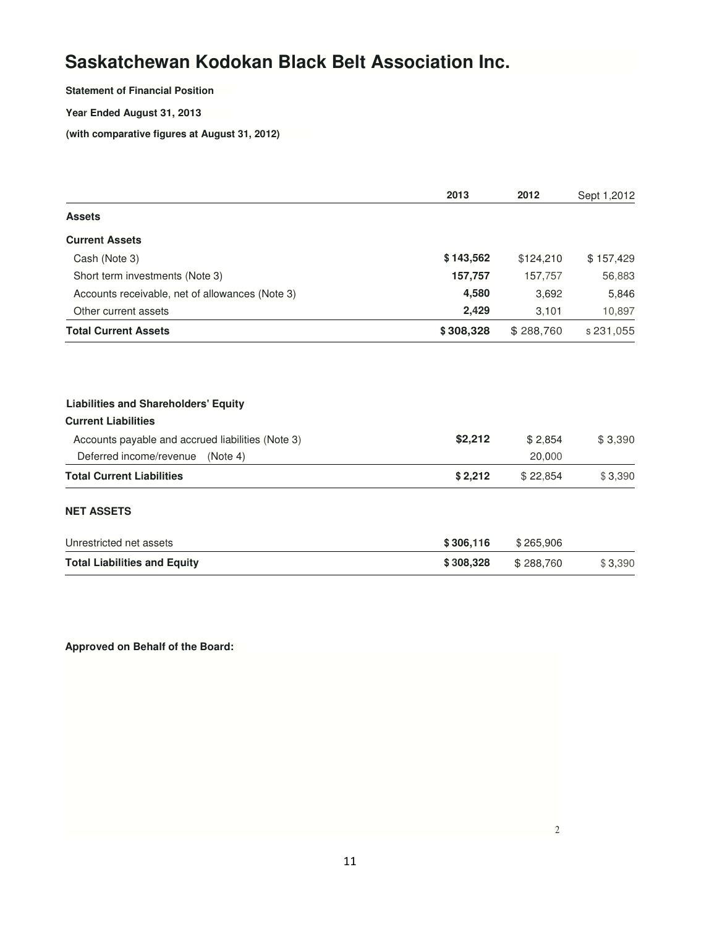#### **Statement of Financial Position**

#### **Year Ended August 31, 2013**

**(with comparative figures at August 31, 2012)** 

| 2013      | 2012              | Sept 1,2012 |
|-----------|-------------------|-------------|
|           |                   |             |
|           |                   |             |
| \$143,562 | \$124,210         | \$157,429   |
| 157,757   | 157,757           | 56,883      |
| 4,580     | 3,692             | 5,846       |
| 2,429     | 3,101             | 10,897      |
| \$308,328 | \$288,760         | s 231,055   |
| \$2,212   | \$2,854<br>20,000 | \$3,390     |
| \$2,212   | \$22,854          | \$3,390     |
|           |                   |             |
| \$306,116 | \$265,906         |             |
| \$308,328 | \$288,760         | \$3,390     |
|           |                   |             |

**Approved on Behalf of the Board:**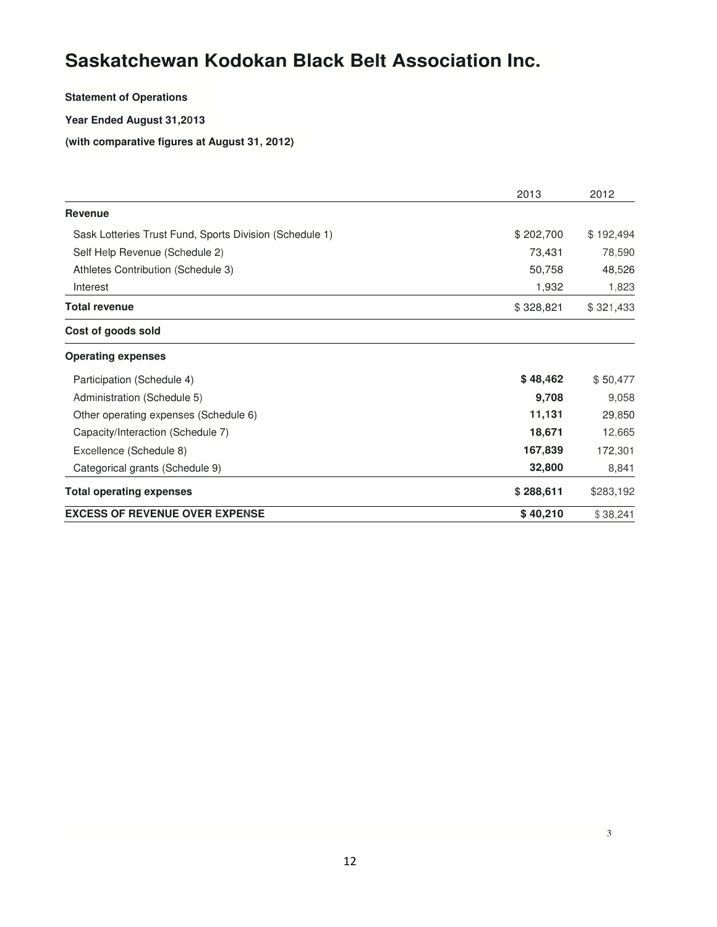#### **Statement of Operations**

#### **Year Ended August 31,2013**

**(with comparative figures at August 31, 2012)** 

|                                                         | 2013      | 2012      |
|---------------------------------------------------------|-----------|-----------|
| <b>Revenue</b>                                          |           |           |
| Sask Lotteries Trust Fund, Sports Division (Schedule 1) | \$202,700 | \$192,494 |
| Self Help Revenue (Schedule 2)                          | 73,431    | 78,590    |
| Athletes Contribution (Schedule 3)                      | 50,758    | 48,526    |
| Interest                                                | 1,932     | 1,823     |
| <b>Total revenue</b>                                    | \$328,821 | \$321,433 |
| Cost of goods sold                                      |           |           |
| <b>Operating expenses</b>                               |           |           |
| Participation (Schedule 4)                              | \$48,462  | \$50,477  |
| Administration (Schedule 5)                             | 9,708     | 9,058     |
| Other operating expenses (Schedule 6)                   | 11,131    | 29,850    |
| Capacity/Interaction (Schedule 7)                       | 18,671    | 12,665    |
| Excellence (Schedule 8)                                 | 167,839   | 172,301   |
| Categorical grants (Schedule 9)                         | 32,800    | 8,841     |
| <b>Total operating expenses</b>                         | \$288,611 | \$283,192 |
| <b>EXCESS OF REVENUE OVER EXPENSE</b>                   | \$40,210  | \$38,241  |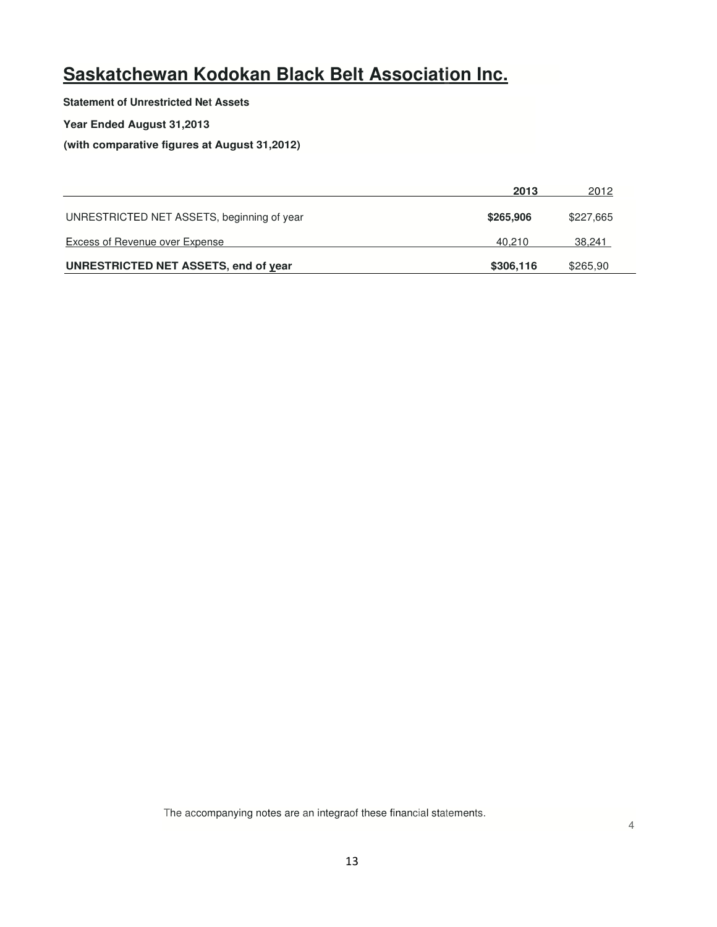#### **Statement of Unrestricted Net Assets**

#### **Year Ended August 31,2013**

**(with comparative figures at August 31,2012)** 

|                                            | 2013      | 2012      |
|--------------------------------------------|-----------|-----------|
| UNRESTRICTED NET ASSETS, beginning of year | \$265,906 | \$227,665 |
| Excess of Revenue over Expense             | 40.210    | 38.241    |
| UNRESTRICTED NET ASSETS, end of year       | \$306,116 | \$265,90  |

The accompanying notes are an integraof these financial statements.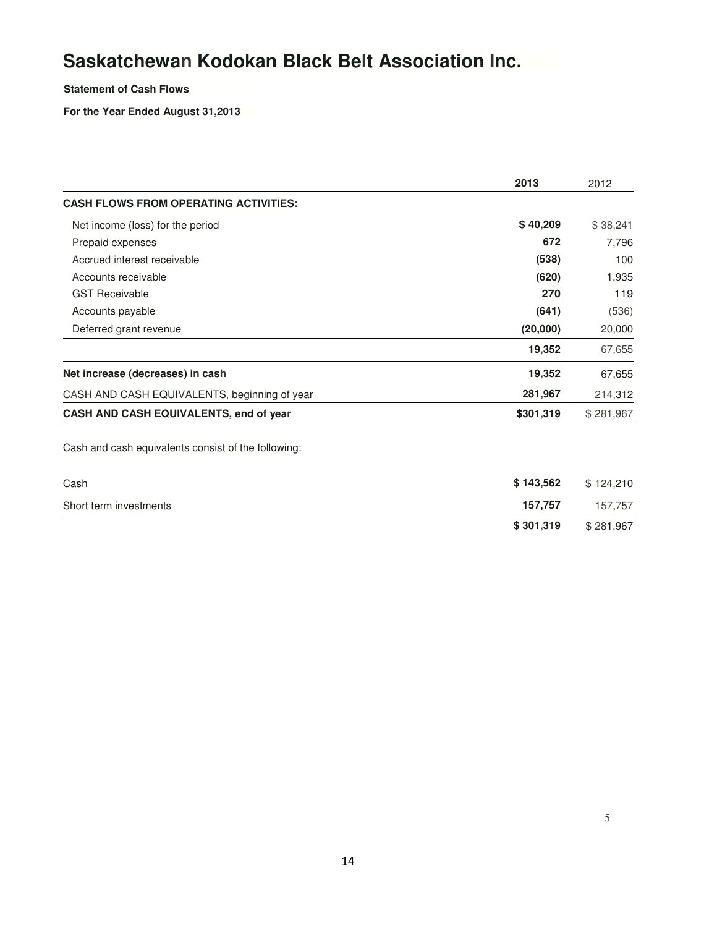#### **Statement of Cash Flows**

|                                                     | 2013      | 2012      |
|-----------------------------------------------------|-----------|-----------|
| <b>CASH FLOWS FROM OPERATING ACTIVITIES:</b>        |           |           |
| Net income (loss) for the period                    | \$40,209  | \$38,241  |
| Prepaid expenses                                    | 672       | 7,796     |
| Accrued interest receivable                         | (538)     | 100       |
| Accounts receivable                                 | (620)     | 1,935     |
| <b>GST Receivable</b>                               | 270       | 119       |
| Accounts payable                                    | (641)     | (536)     |
| Deferred grant revenue                              | (20,000)  | 20,000    |
|                                                     | 19,352    | 67,655    |
| Net increase (decreases) in cash                    | 19,352    | 67,655    |
| CASH AND CASH EQUIVALENTS, beginning of year        | 281,967   | 214,312   |
| CASH AND CASH EQUIVALENTS, end of year              | \$301,319 | \$281,967 |
| Cash and cash equivalents consist of the following: |           |           |

| Cash                   | \$143,562 | \$124.210 |
|------------------------|-----------|-----------|
| Short term investments | 157.757   | 157,757   |
|                        | \$301.319 | \$281,967 |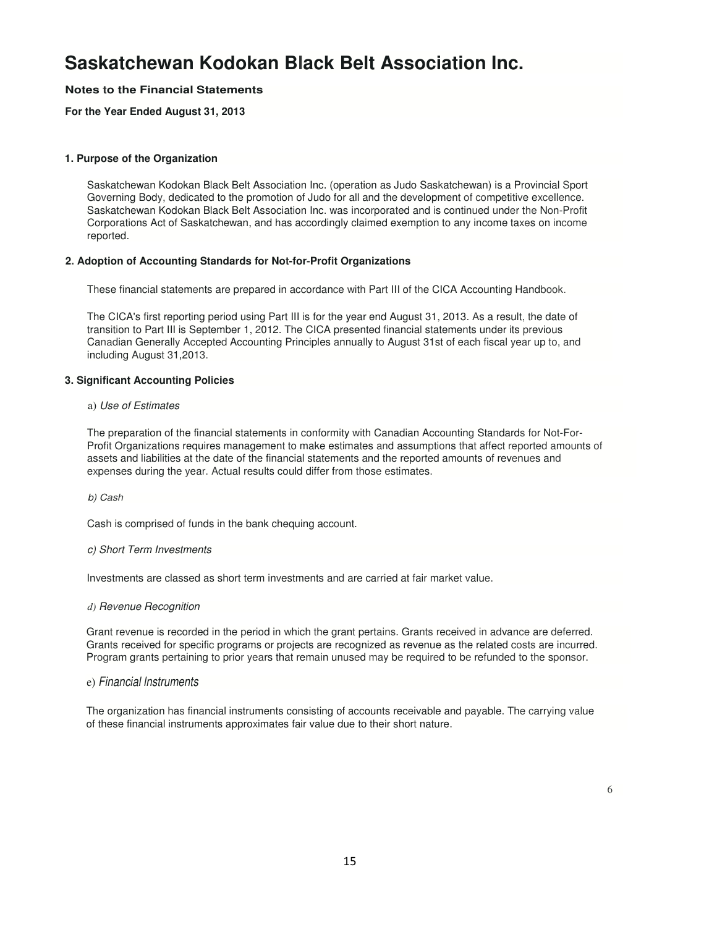#### **Notes to the Financial Statements**

**For the Year Ended August 31, 2013** 

#### **1. Purpose of the Organization**

Saskatchewan Kodokan Black Belt Association Inc. (operation as Judo Saskatchewan) is a Provincial Sport Governing Body, dedicated to the promotion of Judo for all and the development of competitive excellence. Saskatchewan Kodokan Black Belt Association Inc. was incorporated and is continued under the Non-Profit Corporations Act of Saskatchewan, and has accordingly claimed exemption to any income taxes on income reported.

#### **2. Adoption of Accounting Standards for Not-for-Profit Organizations**

These financial statements are prepared in accordance with Part III of the CICA Accounting Handbook.

The CICA's first reporting period using Part III is for the year end August 31, 2013. As a result, the date of transition to Part III is September 1, 2012. The CICA presented financial statements under its previous Canadian Generally Accepted Accounting Principles annually to August 31st of each fiscal year up to, and including August 31,2013.

#### **3. Significant Accounting Policies**

#### a) Use of Estimates

The preparation of the financial statements in conformity with Canadian Accounting Standards for Not-For-Profit Organizations requires management to make estimates and assumptions that affect reported amounts of assets and liabilities at the date of the financial statements and the reported amounts of revenues and expenses during the year. Actual results could differ from those estimates.

b) Cash

Cash is comprised of funds in the bank chequing account.

#### c) Short Term Investments

Investments are classed as short term investments and are carried at fair market value.

#### *d)* Revenue Recognition

Grant revenue is recorded in the period in which the grant pertains. Grants received in advance are deferred. Grants received for specific programs or projects are recognized as revenue as the related costs are incurred. Program grants pertaining to prior years that remain unused may be required to be refunded to the sponsor.

#### e) Financial lnstruments

The organization has financial instruments consisting of accounts receivable and payable. The carrying value of these financial instruments approximates fair value due to their short nature.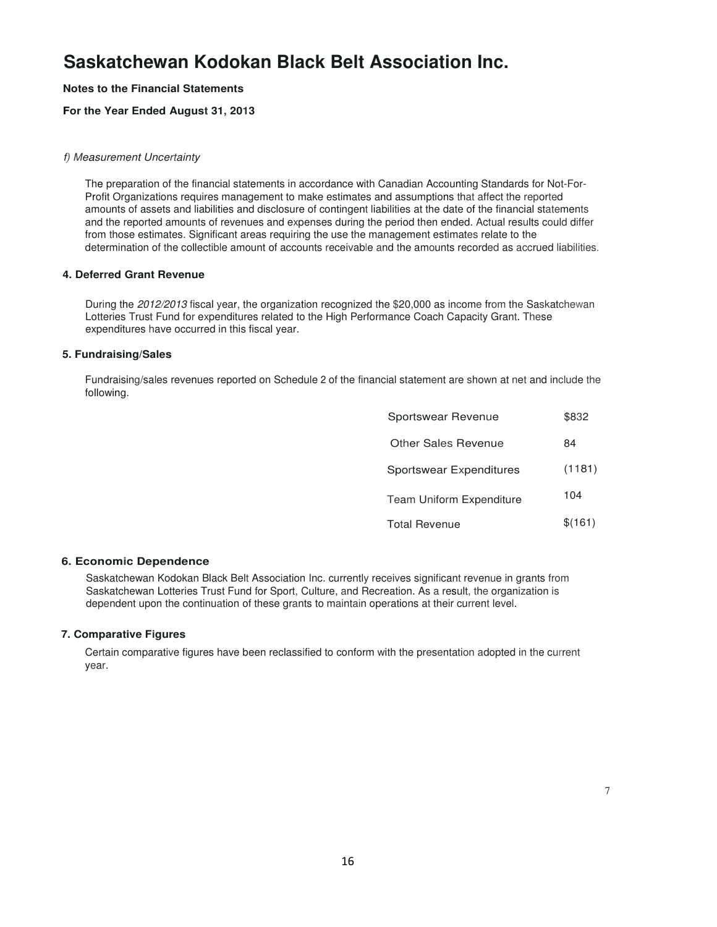#### **Notes to the Financial Statements**

#### **For the Year Ended August 31, 2013**

#### f) Measurement Uncertainty

The preparation of the financial statements in accordance with Canadian Accounting Standards for Not-For-Profit Organizations requires management to make estimates and assumptions that affect the reported amounts of assets and liabilities and disclosure of contingent liabilities at the date of the financial statements and the reported amounts of revenues and expenses during the period then ended. Actual results could differ from those estimates. Significant areas requiring the use the management estimates relate to the determination of the collectible amount of accounts receivable and the amounts recorded as accrued liabilities.

#### **4. Deferred Grant Revenue**

During the 2012/2013 fiscal year, the organization recognized the \$20,000 as income from the Saskatchewan Lotteries Trust Fund for expenditures related to the High Performance Coach Capacity Grant. These expenditures have occurred in this fiscal year.

#### **5. Fundraising/Sales**

Fundraising/sales revenues reported on Schedule 2 of the financial statement are shown at net and include the following.

| Sportswear Revenue              | \$832   |
|---------------------------------|---------|
| Other Sales Revenue             | 84      |
| Sportswear Expenditures         | (1181)  |
| <b>Team Uniform Expenditure</b> | 104     |
| <b>Total Revenue</b>            | \$(161) |
|                                 |         |

#### **6. Economic Dependence**

Saskatchewan Kodokan Black Belt Association Inc. currently receives significant revenue in grants from Saskatchewan Lotteries Trust Fund for Sport, Culture, and Recreation. As a result, the organization is dependent upon the continuation of these grants to maintain operations at their current level.

#### **7. Comparative Figures**

Certain comparative figures have been reclassified to conform with the presentation adopted in the current year.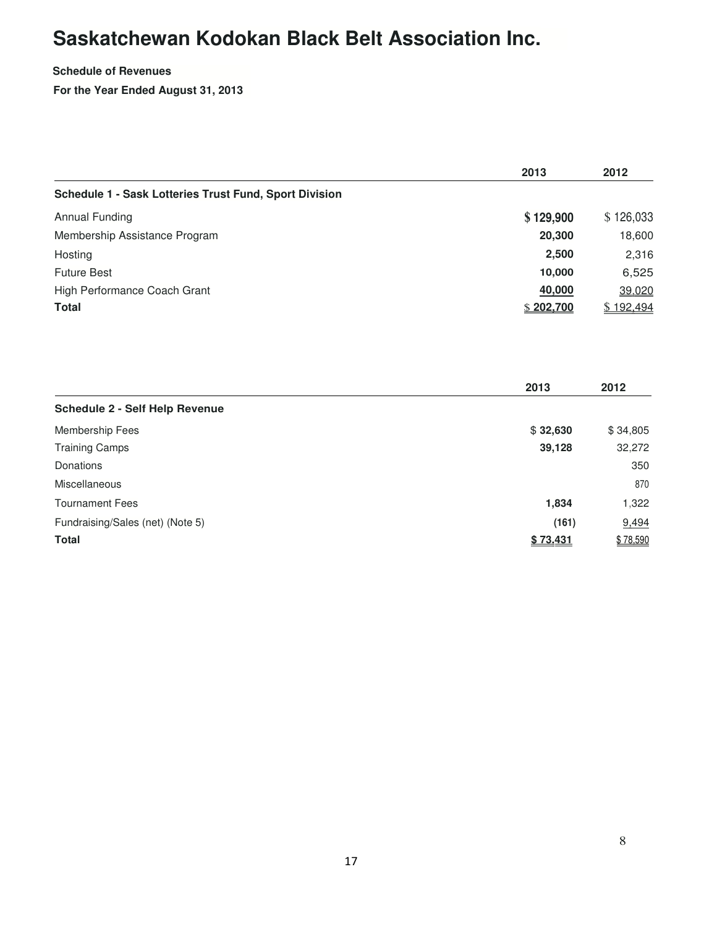#### **Schedule of Revenues**

|                                                        | 2013      | 2012      |
|--------------------------------------------------------|-----------|-----------|
| Schedule 1 - Sask Lotteries Trust Fund, Sport Division |           |           |
| <b>Annual Funding</b>                                  | \$129,900 | \$126,033 |
| Membership Assistance Program                          | 20,300    | 18,600    |
| Hosting                                                | 2,500     | 2,316     |
| <b>Future Best</b>                                     | 10,000    | 6,525     |
| High Performance Coach Grant                           | 40,000    | 39,020    |
| <b>Total</b>                                           | \$202,700 | \$192,494 |
|                                                        |           |           |
|                                                        |           |           |
|                                                        | 2013      | 2012      |
| <b>Schedule 2 - Self Help Revenue</b>                  |           |           |
| Membership Fees                                        | \$32,630  | \$34,805  |
| <b>Training Camps</b>                                  | 39,128    | 32,272    |
| Donations                                              |           | 350       |

| Miscellaneous                    |          | 870      |
|----------------------------------|----------|----------|
| <b>Tournament Fees</b>           | 1,834    | 1.322    |
| Fundraising/Sales (net) (Note 5) | (161)    | 9,494    |
| <b>Total</b>                     | \$73.431 | \$78,590 |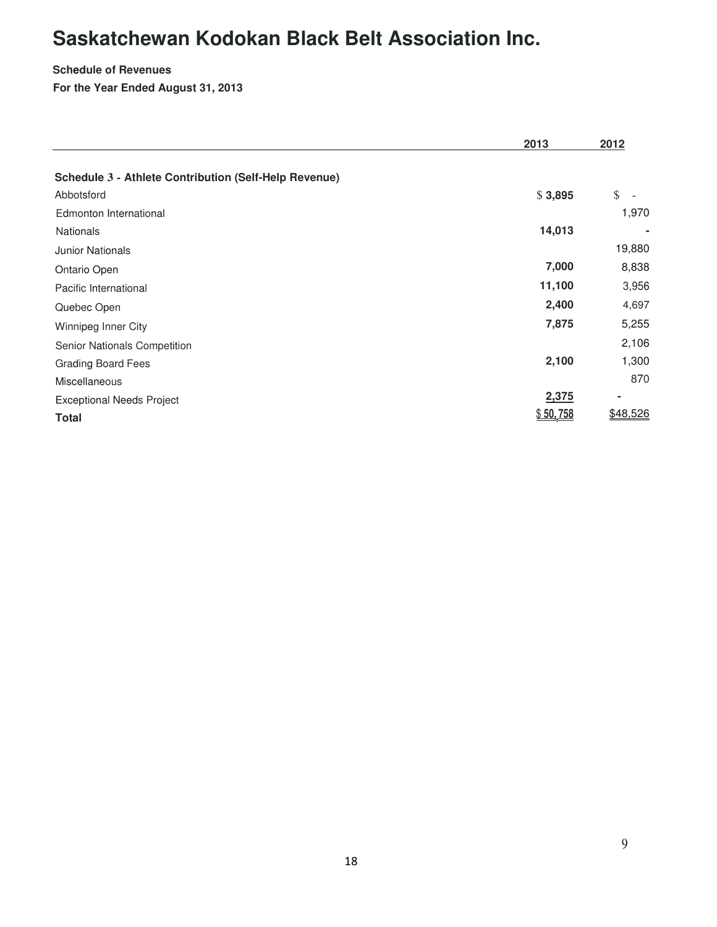#### **Schedule of Revenues**

|                                                              | 2013             | 2012          |
|--------------------------------------------------------------|------------------|---------------|
| <b>Schedule 3 - Athlete Contribution (Self-Help Revenue)</b> |                  |               |
| Abbotsford                                                   | \$3,895          | $\mathcal{S}$ |
| Edmonton International                                       |                  | 1,970         |
| <b>Nationals</b>                                             | 14,013           | ٠             |
| <b>Junior Nationals</b>                                      |                  | 19,880        |
| Ontario Open                                                 | 7,000            | 8,838         |
| Pacific International                                        | 11,100           | 3,956         |
| Quebec Open                                                  | 2,400            | 4,697         |
| Winnipeg Inner City                                          | 7,875            | 5,255         |
| Senior Nationals Competition                                 |                  | 2,106         |
| <b>Grading Board Fees</b>                                    | 2,100            | 1,300         |
| <b>Miscellaneous</b>                                         |                  | 870           |
| <b>Exceptional Needs Project</b>                             | 2,375            |               |
| Total                                                        | <u>\$ 50,758</u> | \$48,526      |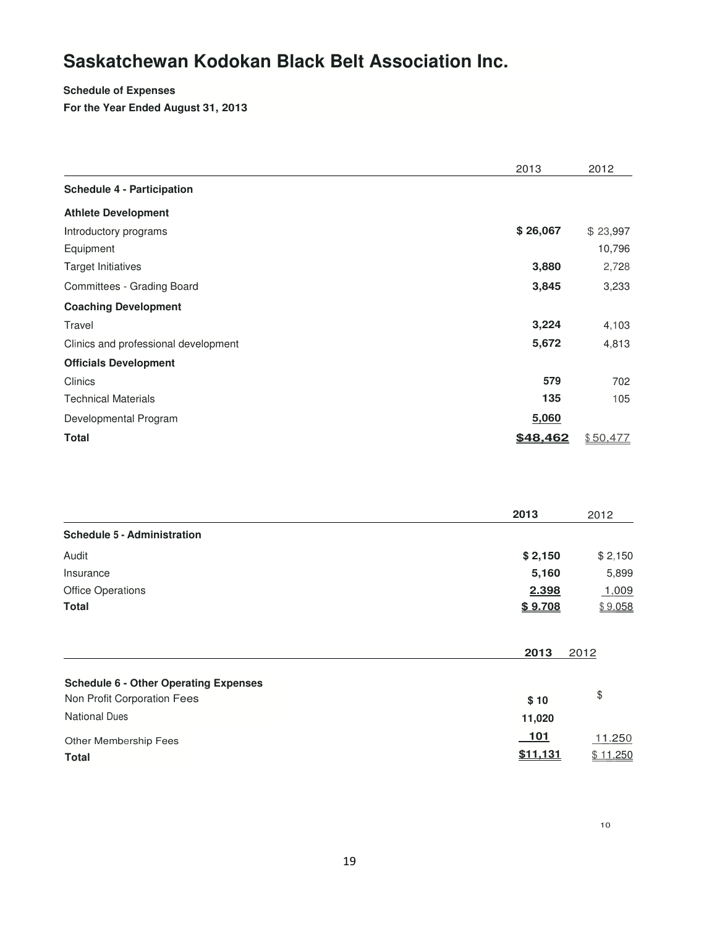#### **Schedule of Expenses**

|                                      | 2013            | 2012     |
|--------------------------------------|-----------------|----------|
| <b>Schedule 4 - Participation</b>    |                 |          |
| <b>Athlete Development</b>           |                 |          |
| Introductory programs                | \$26,067        | \$23,997 |
| Equipment                            |                 | 10,796   |
| <b>Target Initiatives</b>            | 3,880           | 2,728    |
| Committees - Grading Board           | 3,845           | 3,233    |
| <b>Coaching Development</b>          |                 |          |
| Travel                               | 3,224           | 4,103    |
| Clinics and professional development | 5,672           | 4,813    |
| <b>Officials Development</b>         |                 |          |
| Clinics                              | 579             | 702      |
| <b>Technical Materials</b>           | 135             | 105      |
| Developmental Program                | 5,060           |          |
| Total                                | <u>\$48,462</u> | \$50,477 |

|                                              | 2013     | 2012     |
|----------------------------------------------|----------|----------|
| <b>Schedule 5 - Administration</b>           |          |          |
| Audit                                        | \$2,150  | \$2,150  |
| Insurance                                    | 5,160    | 5,899    |
| Office Operations                            | 2.398    | 1,009    |
| <b>Total</b>                                 | \$9.708  | \$9,058  |
|                                              | 2013     | 2012     |
| <b>Schedule 6 - Other Operating Expenses</b> |          |          |
| Non Profit Corporation Fees                  | \$10     | \$       |
| <b>National Dues</b>                         | 11,020   |          |
| Other Membership Fees                        | 101      | 11.250   |
| <b>Total</b>                                 | \$11,131 | \$11,250 |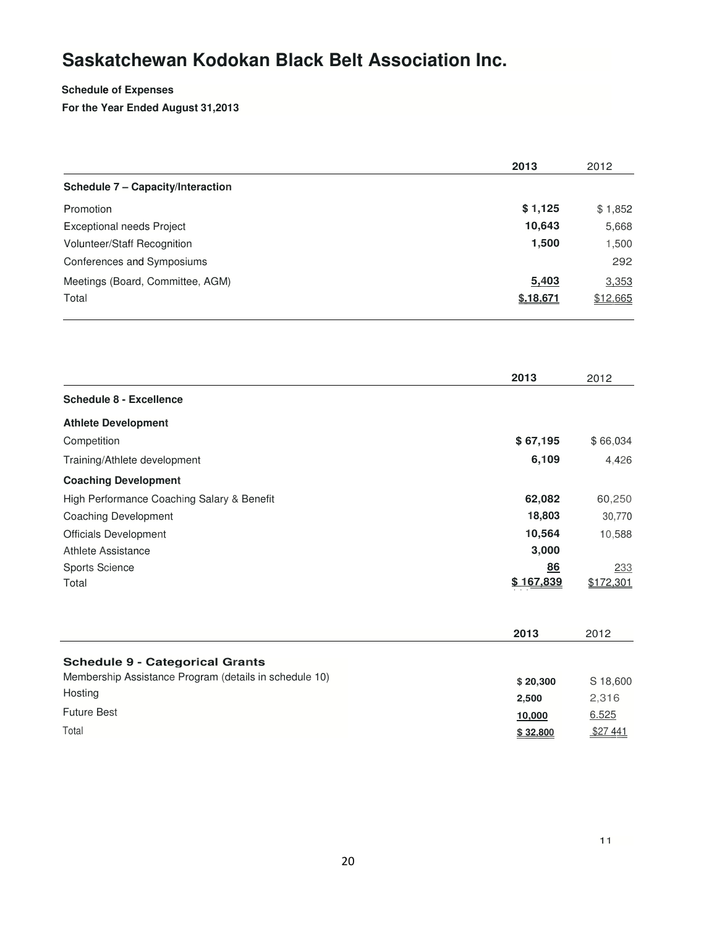#### **Schedule of Expenses**

|                                   | 2013      | 2012     |
|-----------------------------------|-----------|----------|
| Schedule 7 - Capacity/Interaction |           |          |
| Promotion                         | \$1,125   | \$1,852  |
| <b>Exceptional needs Project</b>  | 10,643    | 5,668    |
| Volunteer/Staff Recognition       | 1,500     | 1,500    |
| Conferences and Symposiums        |           | 292      |
| Meetings (Board, Committee, AGM)  | 5,403     | 3,353    |
| Total                             | \$.18,671 | \$12,665 |

|                                                        | 2013      | 2012      |
|--------------------------------------------------------|-----------|-----------|
| <b>Schedule 8 - Excellence</b>                         |           |           |
| <b>Athlete Development</b>                             |           |           |
| Competition                                            | \$67,195  | \$66,034  |
| Training/Athlete development                           | 6,109     | 4,426     |
| <b>Coaching Development</b>                            |           |           |
| High Performance Coaching Salary & Benefit             | 62,082    | 60,250    |
| <b>Coaching Development</b>                            | 18,803    | 30,770    |
| <b>Officials Development</b>                           | 10,564    | 10,588    |
| Athlete Assistance                                     | 3,000     |           |
| Sports Science                                         | 86        | 233       |
| Total                                                  | \$167,839 | \$172,301 |
|                                                        |           |           |
|                                                        | 2013      | 2012      |
| <b>Schedule 9 - Categorical Grants</b>                 |           |           |
| Membership Assistance Program (details in schedule 10) | \$20,300  | S 18,600  |
| Hosting                                                | 2,500     | 2,316     |
| <b>Future Best</b>                                     | 10,000    | 6.525     |
| Total                                                  | \$32.800  | \$27441   |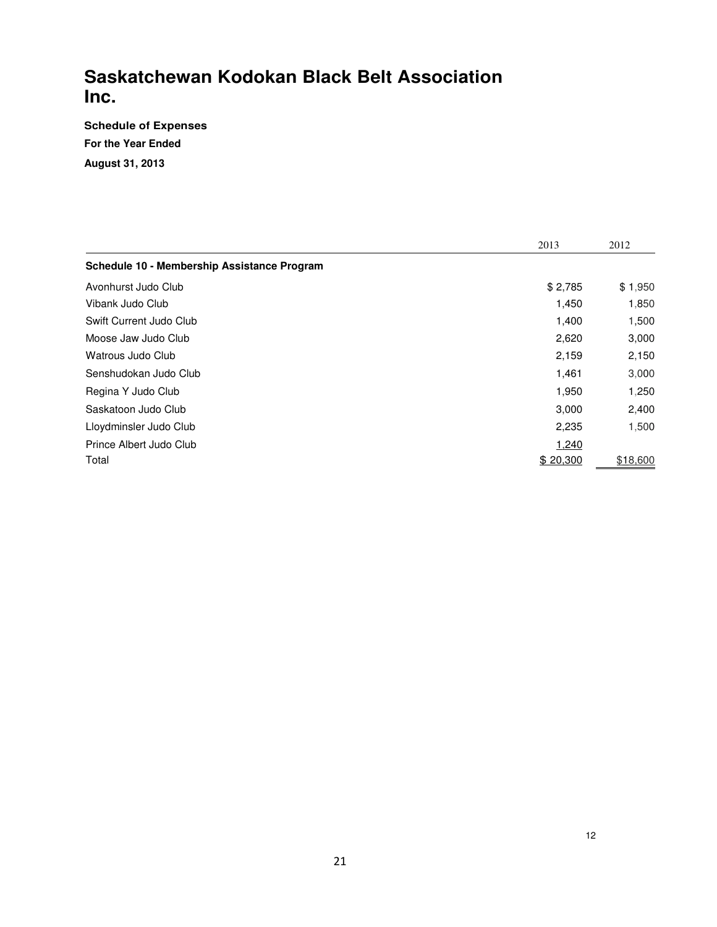**Schedule of Expenses For the Year Ended August 31, 2013** 

|                                             | 2013     | 2012     |
|---------------------------------------------|----------|----------|
| Schedule 10 - Membership Assistance Program |          |          |
| Avonhurst Judo Club                         | \$2,785  | \$1,950  |
| Vibank Judo Club                            | 1,450    | 1,850    |
| Swift Current Judo Club                     | 1,400    | 1,500    |
| Moose Jaw Judo Club                         | 2,620    | 3,000    |
| Watrous Judo Club                           | 2,159    | 2,150    |
| Senshudokan Judo Club                       | 1,461    | 3,000    |
| Regina Y Judo Club                          | 1,950    | 1,250    |
| Saskatoon Judo Club                         | 3,000    | 2,400    |
| Lloydminsler Judo Club                      | 2,235    | 1,500    |
| Prince Albert Judo Club                     | 1,240    |          |
| Total                                       | \$20,300 | \$18,600 |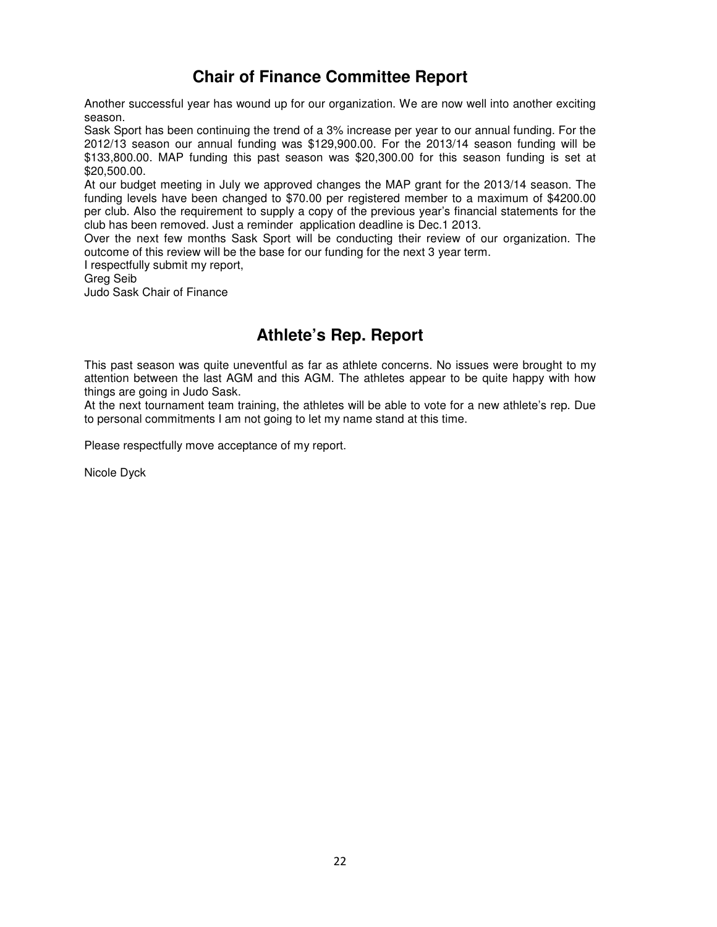# **Chair of Finance Committee Report**

Another successful year has wound up for our organization. We are now well into another exciting season.

Sask Sport has been continuing the trend of a 3% increase per year to our annual funding. For the 2012/13 season our annual funding was \$129,900.00. For the 2013/14 season funding will be \$133,800.00. MAP funding this past season was \$20,300.00 for this season funding is set at \$20,500.00.

At our budget meeting in July we approved changes the MAP grant for the 2013/14 season. The funding levels have been changed to \$70.00 per registered member to a maximum of \$4200.00 per club. Also the requirement to supply a copy of the previous year's financial statements for the club has been removed. Just a reminder application deadline is Dec.1 2013.

Over the next few months Sask Sport will be conducting their review of our organization. The outcome of this review will be the base for our funding for the next 3 year term.

I respectfully submit my report,

Greg Seib

Judo Sask Chair of Finance

### **Athlete's Rep. Report**

This past season was quite uneventful as far as athlete concerns. No issues were brought to my attention between the last AGM and this AGM. The athletes appear to be quite happy with how things are going in Judo Sask.

At the next tournament team training, the athletes will be able to vote for a new athlete's rep. Due to personal commitments I am not going to let my name stand at this time.

Please respectfully move acceptance of my report.

Nicole Dyck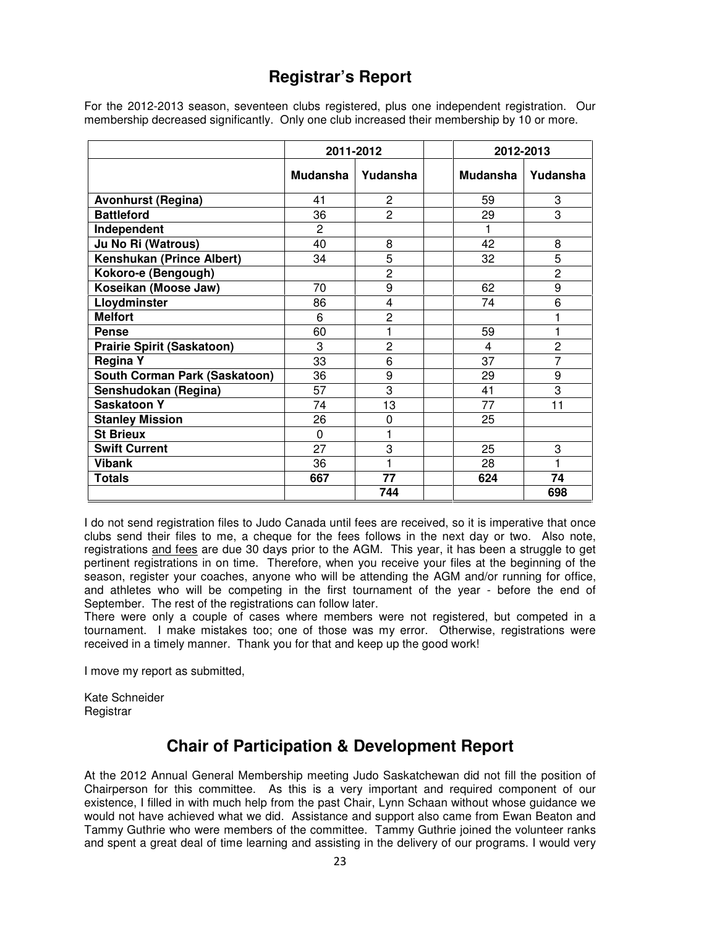# **Registrar's Report**

|                                      | 2011-2012       |                         | 2012-2013 |                |
|--------------------------------------|-----------------|-------------------------|-----------|----------------|
|                                      | <b>Mudansha</b> | Yudansha                | Mudansha  | Yudansha       |
| <b>Avonhurst (Regina)</b>            | 41              | 2                       | 59        | 3              |
| <b>Battleford</b>                    | 36              | $\overline{c}$          | 29        | 3              |
| Independent                          | 2               |                         | 1         |                |
| Ju No Ri (Watrous)                   | 40              | 8                       | 42        | 8              |
| Kenshukan (Prince Albert)            | 34              | 5                       | 32        | 5              |
| Kokoro-e (Bengough)                  |                 | $\overline{2}$          |           | $\overline{2}$ |
| Koseikan (Moose Jaw)                 | 70              | 9                       | 62        | 9              |
| Lloydminster                         | 86              | $\overline{\mathbf{4}}$ | 74        | 6              |
| <b>Melfort</b>                       | 6               | $\overline{c}$          |           |                |
| <b>Pense</b>                         | 60              | 1                       | 59        | 1              |
| <b>Prairie Spirit (Saskatoon)</b>    | 3               | $\overline{c}$          | 4         | $\overline{2}$ |
| <b>Regina Y</b>                      | 33              | 6                       | 37        | $\overline{7}$ |
| <b>South Corman Park (Saskatoon)</b> | 36              | 9                       | 29        | 9              |
| Senshudokan (Regina)                 | 57              | 3                       | 41        | 3              |
| <b>Saskatoon Y</b>                   | 74              | 13                      | 77        | 11             |
| <b>Stanley Mission</b>               | 26              | 0                       | 25        |                |
| <b>St Brieux</b>                     | $\mathbf 0$     | 1                       |           |                |
| <b>Swift Current</b>                 | 27              | 3                       | 25        | 3              |
| <b>Vibank</b>                        | 36              | 1                       | 28        |                |
| Totals                               | 667             | 77                      | 624       | 74             |
|                                      |                 | 744                     |           | 698            |

For the 2012-2013 season, seventeen clubs registered, plus one independent registration. Our membership decreased significantly. Only one club increased their membership by 10 or more.

I do not send registration files to Judo Canada until fees are received, so it is imperative that once clubs send their files to me, a cheque for the fees follows in the next day or two. Also note, registrations and fees are due 30 days prior to the AGM. This year, it has been a struggle to get pertinent registrations in on time. Therefore, when you receive your files at the beginning of the season, register your coaches, anyone who will be attending the AGM and/or running for office, and athletes who will be competing in the first tournament of the year - before the end of September. The rest of the registrations can follow later.

There were only a couple of cases where members were not registered, but competed in a tournament. I make mistakes too; one of those was my error. Otherwise, registrations were received in a timely manner. Thank you for that and keep up the good work!

I move my report as submitted,

Kate Schneider Registrar

# **Chair of Participation & Development Report**

At the 2012 Annual General Membership meeting Judo Saskatchewan did not fill the position of Chairperson for this committee. As this is a very important and required component of our existence, I filled in with much help from the past Chair, Lynn Schaan without whose guidance we would not have achieved what we did. Assistance and support also came from Ewan Beaton and Tammy Guthrie who were members of the committee. Tammy Guthrie joined the volunteer ranks and spent a great deal of time learning and assisting in the delivery of our programs. I would very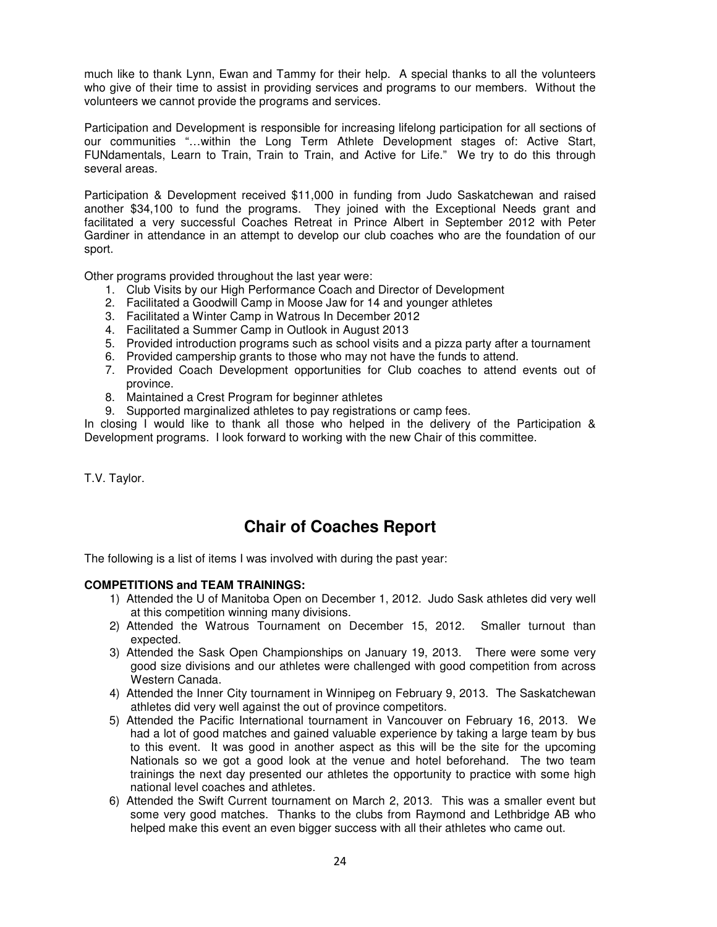much like to thank Lynn, Ewan and Tammy for their help. A special thanks to all the volunteers who give of their time to assist in providing services and programs to our members. Without the volunteers we cannot provide the programs and services.

Participation and Development is responsible for increasing lifelong participation for all sections of our communities "…within the Long Term Athlete Development stages of: Active Start, FUNdamentals, Learn to Train, Train to Train, and Active for Life." We try to do this through several areas.

Participation & Development received \$11,000 in funding from Judo Saskatchewan and raised another \$34,100 to fund the programs. They joined with the Exceptional Needs grant and facilitated a very successful Coaches Retreat in Prince Albert in September 2012 with Peter Gardiner in attendance in an attempt to develop our club coaches who are the foundation of our sport.

Other programs provided throughout the last year were:

- 1. Club Visits by our High Performance Coach and Director of Development
- 2. Facilitated a Goodwill Camp in Moose Jaw for 14 and younger athletes
- 3. Facilitated a Winter Camp in Watrous In December 2012
- 4. Facilitated a Summer Camp in Outlook in August 2013
- 5. Provided introduction programs such as school visits and a pizza party after a tournament
- 6. Provided campership grants to those who may not have the funds to attend.
- 7. Provided Coach Development opportunities for Club coaches to attend events out of province.
- 8. Maintained a Crest Program for beginner athletes
- 9. Supported marginalized athletes to pay registrations or camp fees.

In closing I would like to thank all those who helped in the delivery of the Participation & Development programs. I look forward to working with the new Chair of this committee.

T.V. Taylor.

## **Chair of Coaches Report**

The following is a list of items I was involved with during the past year:

#### **COMPETITIONS and TEAM TRAININGS:**

- 1) Attended the U of Manitoba Open on December 1, 2012. Judo Sask athletes did very well at this competition winning many divisions.
- 2) Attended the Watrous Tournament on December 15, 2012. Smaller turnout than expected.
- 3) Attended the Sask Open Championships on January 19, 2013. There were some very good size divisions and our athletes were challenged with good competition from across Western Canada.
- 4) Attended the Inner City tournament in Winnipeg on February 9, 2013. The Saskatchewan athletes did very well against the out of province competitors.
- 5) Attended the Pacific International tournament in Vancouver on February 16, 2013. We had a lot of good matches and gained valuable experience by taking a large team by bus to this event. It was good in another aspect as this will be the site for the upcoming Nationals so we got a good look at the venue and hotel beforehand. The two team trainings the next day presented our athletes the opportunity to practice with some high national level coaches and athletes.
- 6) Attended the Swift Current tournament on March 2, 2013. This was a smaller event but some very good matches. Thanks to the clubs from Raymond and Lethbridge AB who helped make this event an even bigger success with all their athletes who came out.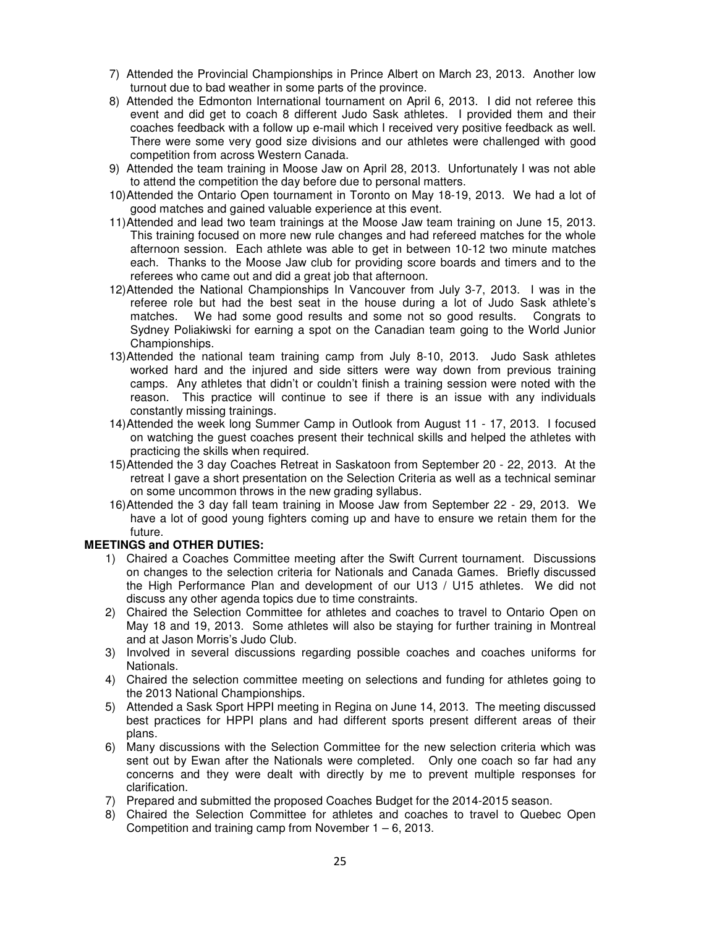- 7) Attended the Provincial Championships in Prince Albert on March 23, 2013. Another low turnout due to bad weather in some parts of the province.
- 8) Attended the Edmonton International tournament on April 6, 2013. I did not referee this event and did get to coach 8 different Judo Sask athletes. I provided them and their coaches feedback with a follow up e-mail which I received very positive feedback as well. There were some very good size divisions and our athletes were challenged with good competition from across Western Canada.
- 9) Attended the team training in Moose Jaw on April 28, 2013. Unfortunately I was not able to attend the competition the day before due to personal matters.
- 10) Attended the Ontario Open tournament in Toronto on May 18-19, 2013. We had a lot of good matches and gained valuable experience at this event.
- 11) Attended and lead two team trainings at the Moose Jaw team training on June 15, 2013. This training focused on more new rule changes and had refereed matches for the whole afternoon session. Each athlete was able to get in between 10-12 two minute matches each. Thanks to the Moose Jaw club for providing score boards and timers and to the referees who came out and did a great job that afternoon.
- 12) Attended the National Championships In Vancouver from July 3-7, 2013. I was in the referee role but had the best seat in the house during a lot of Judo Sask athlete's matches. We had some good results and some not so good results. Congrats to Sydney Poliakiwski for earning a spot on the Canadian team going to the World Junior Championships.
- 13) Attended the national team training camp from July 8-10, 2013. Judo Sask athletes worked hard and the injured and side sitters were way down from previous training camps. Any athletes that didn't or couldn't finish a training session were noted with the reason. This practice will continue to see if there is an issue with any individuals constantly missing trainings.
- 14) Attended the week long Summer Camp in Outlook from August 11 17, 2013. I focused on watching the guest coaches present their technical skills and helped the athletes with practicing the skills when required.
- 15) Attended the 3 day Coaches Retreat in Saskatoon from September 20 22, 2013. At the retreat I gave a short presentation on the Selection Criteria as well as a technical seminar on some uncommon throws in the new grading syllabus.
- 16) Attended the 3 day fall team training in Moose Jaw from September 22 29, 2013. We have a lot of good young fighters coming up and have to ensure we retain them for the future.

#### **MEETINGS and OTHER DUTIES:**

- 1) Chaired a Coaches Committee meeting after the Swift Current tournament. Discussions on changes to the selection criteria for Nationals and Canada Games. Briefly discussed the High Performance Plan and development of our U13 / U15 athletes. We did not discuss any other agenda topics due to time constraints.
- 2) Chaired the Selection Committee for athletes and coaches to travel to Ontario Open on May 18 and 19, 2013. Some athletes will also be staying for further training in Montreal and at Jason Morris's Judo Club.
- 3) Involved in several discussions regarding possible coaches and coaches uniforms for Nationals.
- 4) Chaired the selection committee meeting on selections and funding for athletes going to the 2013 National Championships.
- 5) Attended a Sask Sport HPPI meeting in Regina on June 14, 2013. The meeting discussed best practices for HPPI plans and had different sports present different areas of their plans.
- 6) Many discussions with the Selection Committee for the new selection criteria which was sent out by Ewan after the Nationals were completed. Only one coach so far had any concerns and they were dealt with directly by me to prevent multiple responses for clarification.
- 7) Prepared and submitted the proposed Coaches Budget for the 2014-2015 season.
- 8) Chaired the Selection Committee for athletes and coaches to travel to Quebec Open Competition and training camp from November  $1 - 6$ , 2013.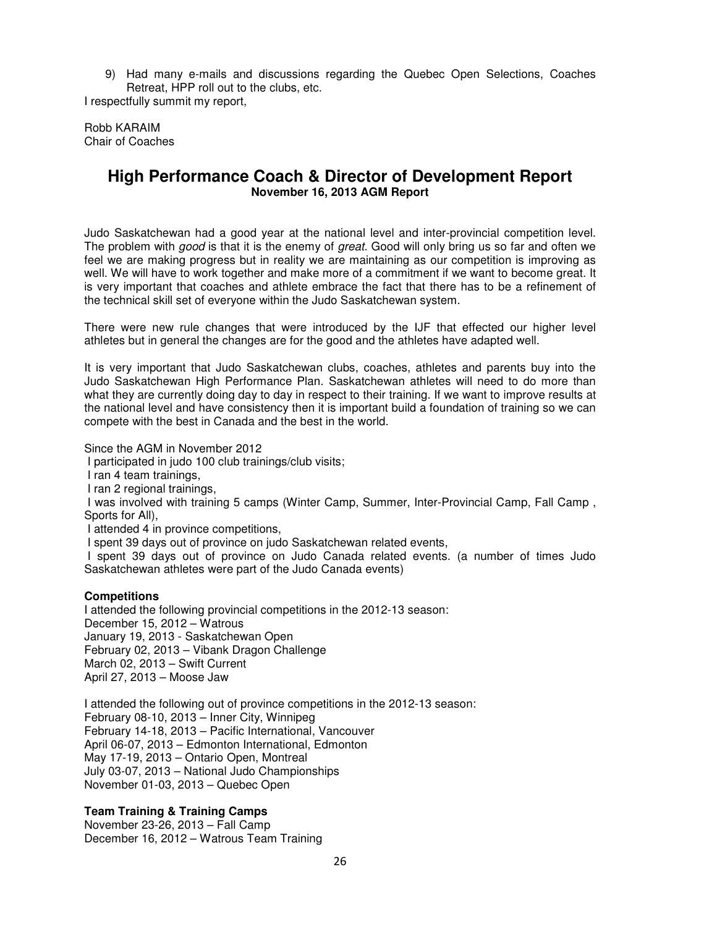9) Had many e-mails and discussions regarding the Quebec Open Selections, Coaches Retreat, HPP roll out to the clubs, etc.

I respectfully summit my report,

Robb KARAIM Chair of Coaches

### **High Performance Coach & Director of Development Report November 16, 2013 AGM Report**

Judo Saskatchewan had a good year at the national level and inter-provincial competition level. The problem with good is that it is the enemy of great. Good will only bring us so far and often we feel we are making progress but in reality we are maintaining as our competition is improving as well. We will have to work together and make more of a commitment if we want to become great. It is very important that coaches and athlete embrace the fact that there has to be a refinement of the technical skill set of everyone within the Judo Saskatchewan system.

There were new rule changes that were introduced by the IJF that effected our higher level athletes but in general the changes are for the good and the athletes have adapted well.

It is very important that Judo Saskatchewan clubs, coaches, athletes and parents buy into the Judo Saskatchewan High Performance Plan. Saskatchewan athletes will need to do more than what they are currently doing day to day in respect to their training. If we want to improve results at the national level and have consistency then it is important build a foundation of training so we can compete with the best in Canada and the best in the world.

Since the AGM in November 2012

I participated in judo 100 club trainings/club visits;

I ran 4 team trainings,

I ran 2 regional trainings,

 I was involved with training 5 camps (Winter Camp, Summer, Inter-Provincial Camp, Fall Camp , Sports for All),

I attended 4 in province competitions,

I spent 39 days out of province on judo Saskatchewan related events,

 I spent 39 days out of province on Judo Canada related events. (a number of times Judo Saskatchewan athletes were part of the Judo Canada events)

#### **Competitions**

I attended the following provincial competitions in the 2012-13 season: December 15, 2012 – Watrous January 19, 2013 - Saskatchewan Open February 02, 2013 – Vibank Dragon Challenge March 02, 2013 – Swift Current April 27, 2013 – Moose Jaw

I attended the following out of province competitions in the 2012-13 season: February 08-10, 2013 – Inner City, Winnipeg February 14-18, 2013 – Pacific International, Vancouver April 06-07, 2013 – Edmonton International, Edmonton May 17-19, 2013 – Ontario Open, Montreal July 03-07, 2013 – National Judo Championships November 01-03, 2013 – Quebec Open

#### **Team Training & Training Camps**

November 23-26, 2013 – Fall Camp December 16, 2012 – Watrous Team Training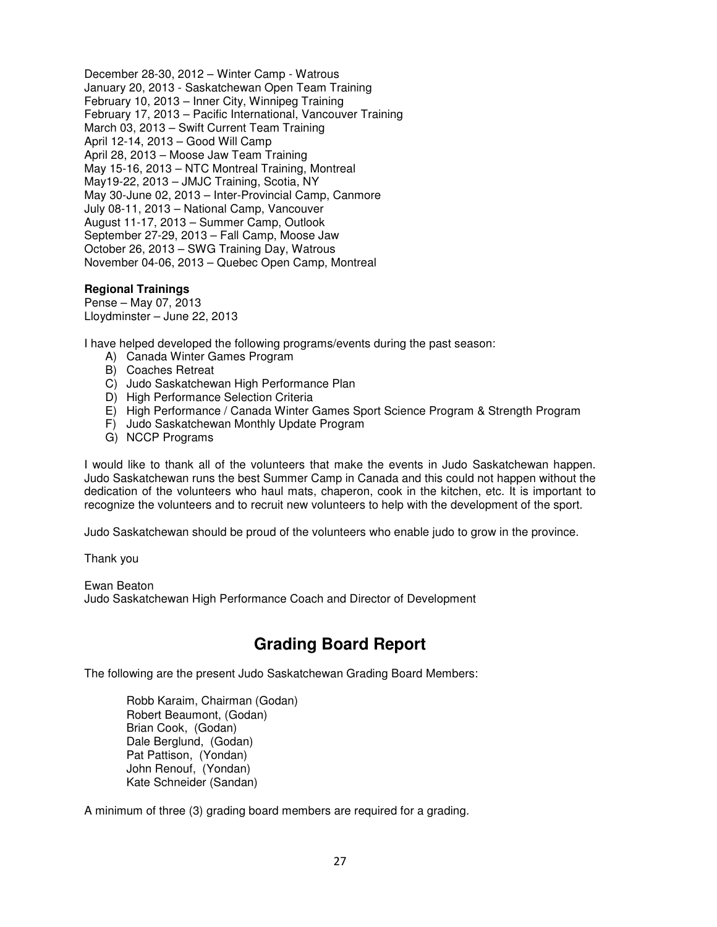December 28-30, 2012 – Winter Camp - Watrous January 20, 2013 - Saskatchewan Open Team Training February 10, 2013 – Inner City, Winnipeg Training February 17, 2013 – Pacific International, Vancouver Training March 03, 2013 – Swift Current Team Training April 12-14, 2013 – Good Will Camp April 28, 2013 – Moose Jaw Team Training May 15-16, 2013 – NTC Montreal Training, Montreal May19-22, 2013 – JMJC Training, Scotia, NY May 30-June 02, 2013 – Inter-Provincial Camp, Canmore July 08-11, 2013 – National Camp, Vancouver August 11-17, 2013 – Summer Camp, Outlook September 27-29, 2013 – Fall Camp, Moose Jaw October 26, 2013 – SWG Training Day, Watrous November 04-06, 2013 – Quebec Open Camp, Montreal

#### **Regional Trainings**

Pense – May 07, 2013 Lloydminster – June 22, 2013

I have helped developed the following programs/events during the past season:

- A) Canada Winter Games Program
- B) Coaches Retreat
- C) Judo Saskatchewan High Performance Plan
- D) High Performance Selection Criteria
- E) High Performance / Canada Winter Games Sport Science Program & Strength Program
- F) Judo Saskatchewan Monthly Update Program
- G) NCCP Programs

I would like to thank all of the volunteers that make the events in Judo Saskatchewan happen. Judo Saskatchewan runs the best Summer Camp in Canada and this could not happen without the dedication of the volunteers who haul mats, chaperon, cook in the kitchen, etc. It is important to recognize the volunteers and to recruit new volunteers to help with the development of the sport.

Judo Saskatchewan should be proud of the volunteers who enable judo to grow in the province.

Thank you

Ewan Beaton Judo Saskatchewan High Performance Coach and Director of Development

### **Grading Board Report**

The following are the present Judo Saskatchewan Grading Board Members:

Robb Karaim, Chairman (Godan) Robert Beaumont, (Godan) Brian Cook, (Godan) Dale Berglund, (Godan) Pat Pattison, (Yondan) John Renouf, (Yondan) Kate Schneider (Sandan)

A minimum of three (3) grading board members are required for a grading.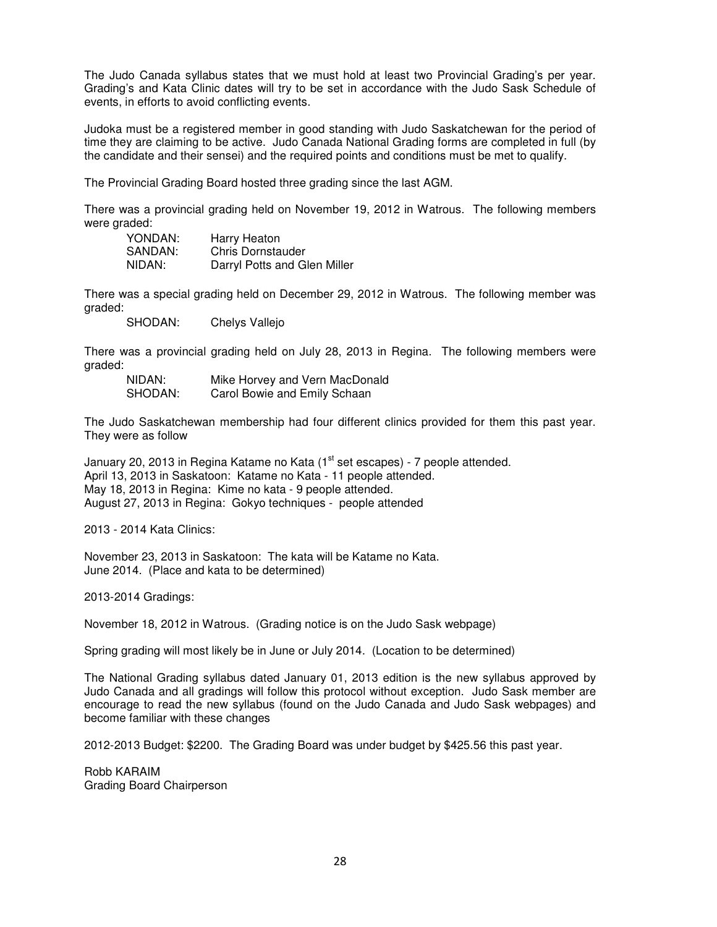The Judo Canada syllabus states that we must hold at least two Provincial Grading's per year. Grading's and Kata Clinic dates will try to be set in accordance with the Judo Sask Schedule of events, in efforts to avoid conflicting events.

Judoka must be a registered member in good standing with Judo Saskatchewan for the period of time they are claiming to be active. Judo Canada National Grading forms are completed in full (by the candidate and their sensei) and the required points and conditions must be met to qualify.

The Provincial Grading Board hosted three grading since the last AGM.

There was a provincial grading held on November 19, 2012 in Watrous. The following members were graded:

| YONDAN: | Harry Heaton                 |
|---------|------------------------------|
| SANDAN: | <b>Chris Dornstauder</b>     |
| NIDAN:  | Darryl Potts and Glen Miller |

There was a special grading held on December 29, 2012 in Watrous. The following member was graded:

SHODAN: Chelys Vallejo

There was a provincial grading held on July 28, 2013 in Regina. The following members were graded:

NIDAN: Mike Horvey and Vern MacDonald SHODAN: Carol Bowie and Emily Schaan

The Judo Saskatchewan membership had four different clinics provided for them this past year. They were as follow

January 20, 2013 in Regina Katame no Kata (1<sup>st</sup> set escapes) - 7 people attended. April 13, 2013 in Saskatoon: Katame no Kata - 11 people attended. May 18, 2013 in Regina: Kime no kata - 9 people attended. August 27, 2013 in Regina: Gokyo techniques - people attended

2013 - 2014 Kata Clinics:

November 23, 2013 in Saskatoon: The kata will be Katame no Kata. June 2014. (Place and kata to be determined)

2013-2014 Gradings:

November 18, 2012 in Watrous. (Grading notice is on the Judo Sask webpage)

Spring grading will most likely be in June or July 2014. (Location to be determined)

The National Grading syllabus dated January 01, 2013 edition is the new syllabus approved by Judo Canada and all gradings will follow this protocol without exception. Judo Sask member are encourage to read the new syllabus (found on the Judo Canada and Judo Sask webpages) and become familiar with these changes

2012-2013 Budget: \$2200. The Grading Board was under budget by \$425.56 this past year.

Robb KARAIM Grading Board Chairperson ľ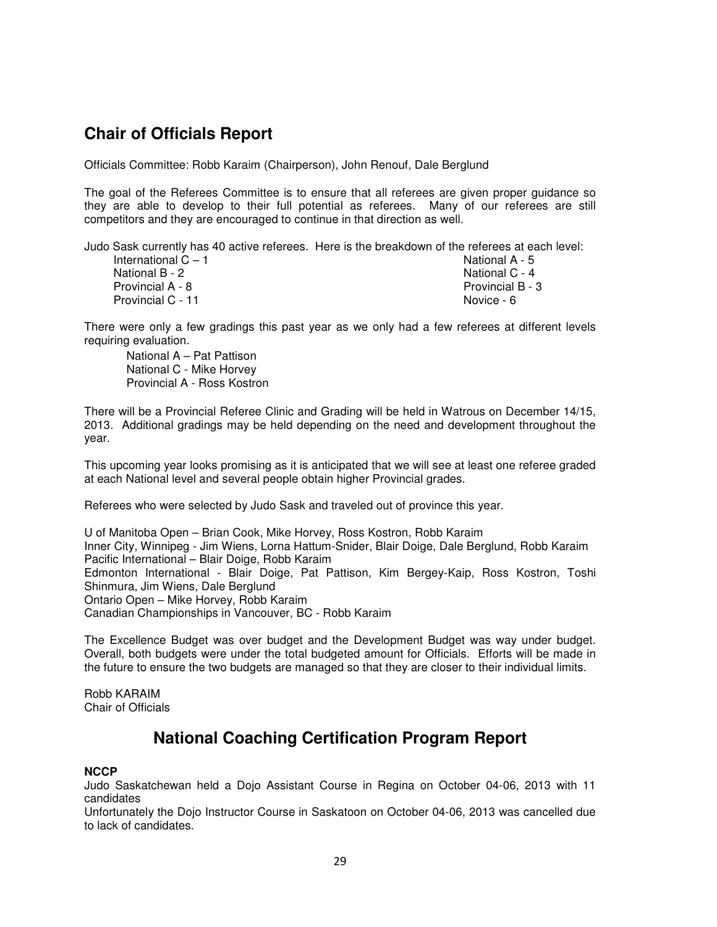# **Chair of Officials Report**

Officials Committee: Robb Karaim (Chairperson), John Renouf, Dale Berglund

The goal of the Referees Committee is to ensure that all referees are given proper guidance so they are able to develop to their full potential as referees. Many of our referees are still competitors and they are encouraged to continue in that direction as well.

Judo Sask currently has 40 active referees. Here is the breakdown of the referees at each level:

| International $C - 1$ | National A - 5   |
|-----------------------|------------------|
| National B - 2        | National C - 4   |
| Provincial A - 8      | Provincial B - 3 |
| Provincial C - 11     | Novice - 6       |

There were only a few gradings this past year as we only had a few referees at different levels requiring evaluation.

National A – Pat Pattison National C - Mike Horvey Provincial A - Ross Kostron

There will be a Provincial Referee Clinic and Grading will be held in Watrous on December 14/15, 2013. Additional gradings may be held depending on the need and development throughout the year.

This upcoming year looks promising as it is anticipated that we will see at least one referee graded at each National level and several people obtain higher Provincial grades.

Referees who were selected by Judo Sask and traveled out of province this year.

U of Manitoba Open – Brian Cook, Mike Horvey, Ross Kostron, Robb Karaim Inner City, Winnipeg - Jim Wiens, Lorna Hattum-Snider, Blair Doige, Dale Berglund, Robb Karaim Pacific International – Blair Doige, Robb Karaim Edmonton International - Blair Doige, Pat Pattison, Kim Bergey-Kaip, Ross Kostron, Toshi Shinmura, Jim Wiens, Dale Berglund Ontario Open – Mike Horvey, Robb Karaim Canadian Championships in Vancouver, BC - Robb Karaim

The Excellence Budget was over budget and the Development Budget was way under budget. Overall, both budgets were under the total budgeted amount for Officials. Efforts will be made in the future to ensure the two budgets are managed so that they are closer to their individual limits.

Robb KARAIM Chair of Officials

## **National Coaching Certification Program Report**

#### **NCCP**

Judo Saskatchewan held a Dojo Assistant Course in Regina on October 04-06, 2013 with 11 candidates

Unfortunately the Dojo Instructor Course in Saskatoon on October 04-06, 2013 was cancelled due to lack of candidates.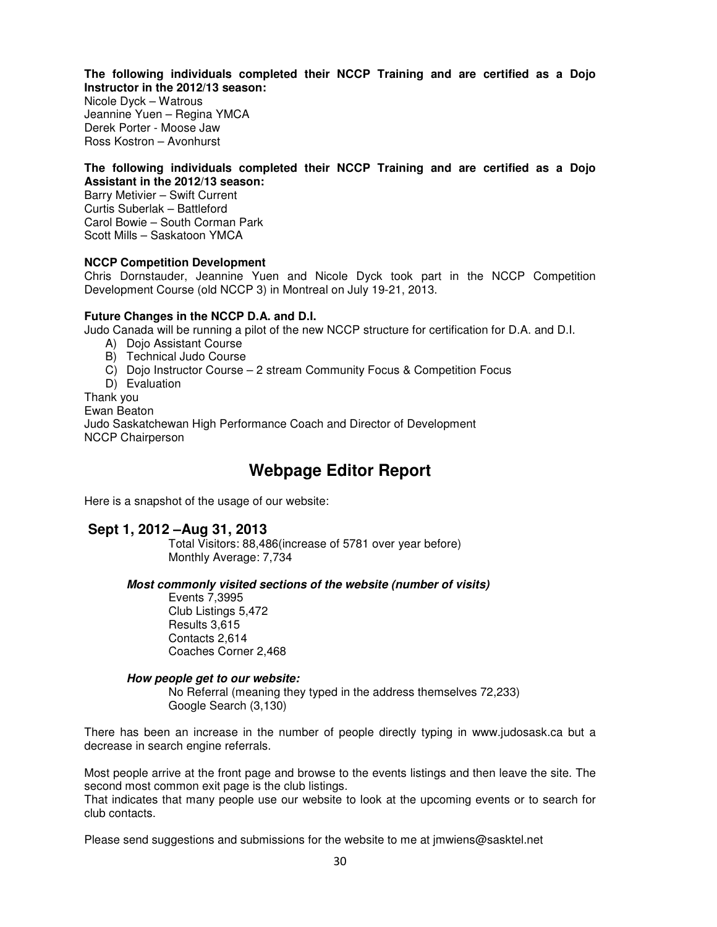#### **The following individuals completed their NCCP Training and are certified as a Dojo Instructor in the 2012/13 season:**

Nicole Dyck – Watrous Jeannine Yuen – Regina YMCA Derek Porter - Moose Jaw Ross Kostron – Avonhurst

#### **The following individuals completed their NCCP Training and are certified as a Dojo Assistant in the 2012/13 season:**

Barry Metivier – Swift Current Curtis Suberlak – Battleford Carol Bowie – South Corman Park Scott Mills – Saskatoon YMCA

#### **NCCP Competition Development**

Chris Dornstauder, Jeannine Yuen and Nicole Dyck took part in the NCCP Competition Development Course (old NCCP 3) in Montreal on July 19-21, 2013.

#### **Future Changes in the NCCP D.A. and D.I.**

Judo Canada will be running a pilot of the new NCCP structure for certification for D.A. and D.I.

- A) Dojo Assistant Course
- B) Technical Judo Course
- C) Dojo Instructor Course 2 stream Community Focus & Competition Focus
- D) Evaluation

Thank you

Ewan Beaton

Judo Saskatchewan High Performance Coach and Director of Development NCCP Chairperson

### **Webpage Editor Report**

Here is a snapshot of the usage of our website:

#### **Sept 1, 2012 –Aug 31, 2013**

Total Visitors: 88,486(increase of 5781 over year before) Monthly Average: 7,734

**Most commonly visited sections of the website (number of visits)** 

 Events 7,3995 Club Listings 5,472 Results 3,615 Contacts 2,614 Coaches Corner 2,468

#### **How people get to our website:**

 No Referral (meaning they typed in the address themselves 72,233) Google Search (3,130)

There has been an increase in the number of people directly typing in www.judosask.ca but a decrease in search engine referrals.

Most people arrive at the front page and browse to the events listings and then leave the site. The second most common exit page is the club listings.

That indicates that many people use our website to look at the upcoming events or to search for club contacts.

Please send suggestions and submissions for the website to me at jmwiens@sasktel.net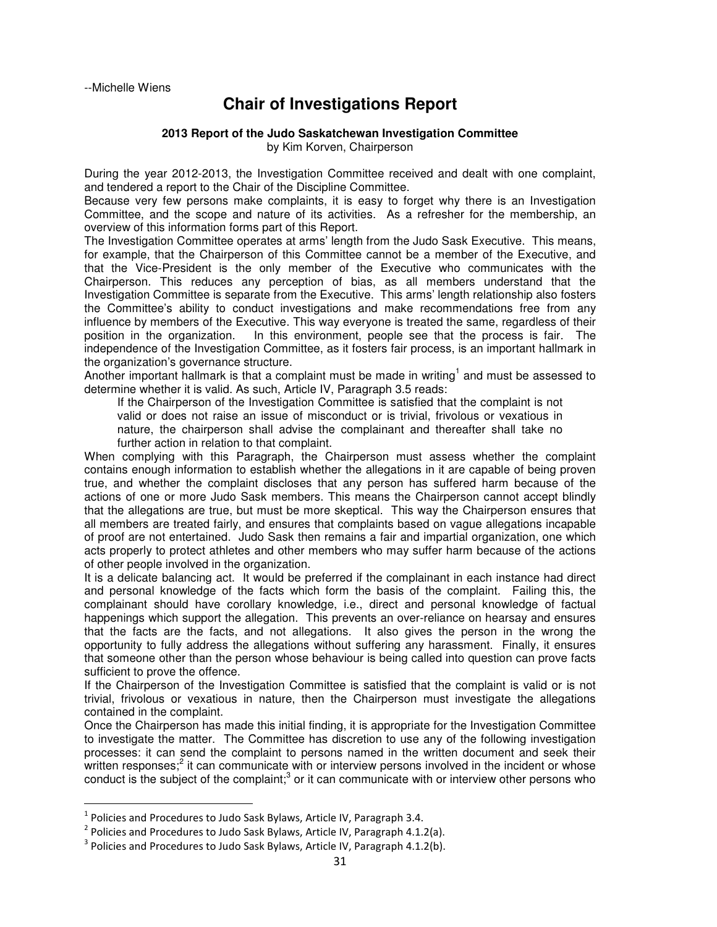--Michelle Wiens

### **Chair of Investigations Report**

#### **2013 Report of the Judo Saskatchewan Investigation Committee**

by Kim Korven, Chairperson

During the year 2012-2013, the Investigation Committee received and dealt with one complaint, and tendered a report to the Chair of the Discipline Committee.

Because very few persons make complaints, it is easy to forget why there is an Investigation Committee, and the scope and nature of its activities. As a refresher for the membership, an overview of this information forms part of this Report.

The Investigation Committee operates at arms' length from the Judo Sask Executive. This means, for example, that the Chairperson of this Committee cannot be a member of the Executive, and that the Vice-President is the only member of the Executive who communicates with the Chairperson. This reduces any perception of bias, as all members understand that the Investigation Committee is separate from the Executive. This arms' length relationship also fosters the Committee's ability to conduct investigations and make recommendations free from any influence by members of the Executive. This way everyone is treated the same, regardless of their position in the organization. In this environment, people see that the process is fair. The independence of the Investigation Committee, as it fosters fair process, is an important hallmark in the organization's governance structure.

Another important hallmark is that a complaint must be made in writing<sup>1</sup> and must be assessed to determine whether it is valid. As such, Article IV, Paragraph 3.5 reads:

If the Chairperson of the Investigation Committee is satisfied that the complaint is not valid or does not raise an issue of misconduct or is trivial, frivolous or vexatious in nature, the chairperson shall advise the complainant and thereafter shall take no further action in relation to that complaint.

When complying with this Paragraph, the Chairperson must assess whether the complaint contains enough information to establish whether the allegations in it are capable of being proven true, and whether the complaint discloses that any person has suffered harm because of the actions of one or more Judo Sask members. This means the Chairperson cannot accept blindly that the allegations are true, but must be more skeptical. This way the Chairperson ensures that all members are treated fairly, and ensures that complaints based on vague allegations incapable of proof are not entertained. Judo Sask then remains a fair and impartial organization, one which acts properly to protect athletes and other members who may suffer harm because of the actions of other people involved in the organization.

It is a delicate balancing act. It would be preferred if the complainant in each instance had direct and personal knowledge of the facts which form the basis of the complaint. Failing this, the complainant should have corollary knowledge, i.e., direct and personal knowledge of factual happenings which support the allegation. This prevents an over-reliance on hearsay and ensures that the facts are the facts, and not allegations. It also gives the person in the wrong the opportunity to fully address the allegations without suffering any harassment. Finally, it ensures that someone other than the person whose behaviour is being called into question can prove facts sufficient to prove the offence.

If the Chairperson of the Investigation Committee is satisfied that the complaint is valid or is not trivial, frivolous or vexatious in nature, then the Chairperson must investigate the allegations contained in the complaint.

Once the Chairperson has made this initial finding, it is appropriate for the Investigation Committee to investigate the matter. The Committee has discretion to use any of the following investigation processes: it can send the complaint to persons named in the written document and seek their written responses;<sup>2</sup> it can communicate with or interview persons involved in the incident or whose conduct is the subject of the complaint;<sup>3</sup> or it can communicate with or interview other persons who

 $\overline{a}$ 

 $<sup>1</sup>$  Policies and Procedures to Judo Sask Bylaws, Article IV, Paragraph 3.4.</sup>

 $2$  Policies and Procedures to Judo Sask Bylaws, Article IV, Paragraph 4.1.2(a).

 $3$  Policies and Procedures to Judo Sask Bylaws, Article IV, Paragraph 4.1.2(b).